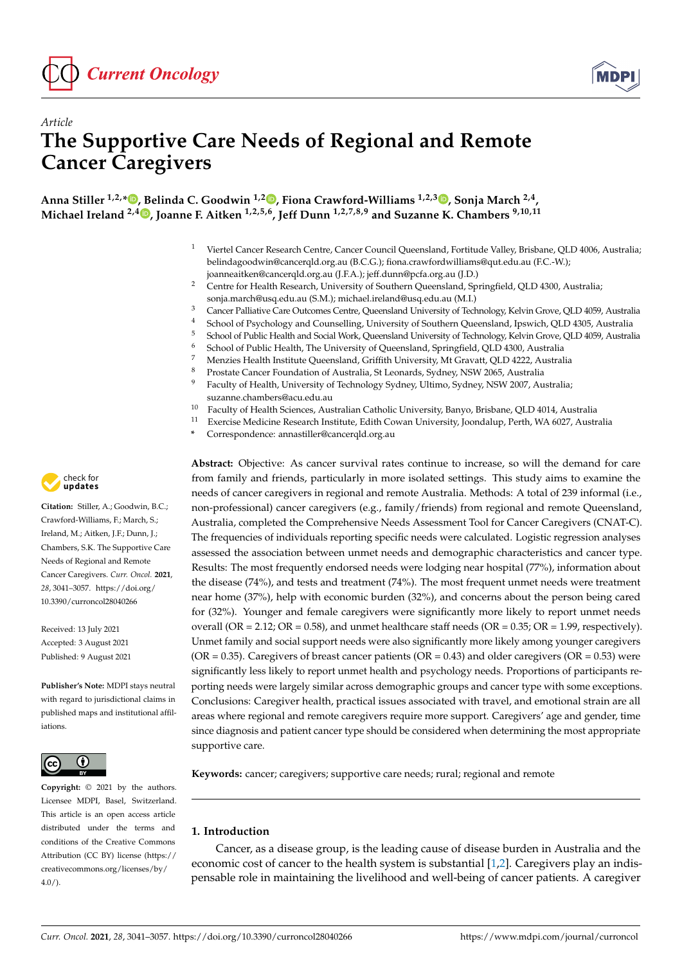



# *Article* **The Supportive Care Needs of Regional and Remote Cancer Caregivers**

**Anna Stiller 1,2,[\\*](https://orcid.org/0000-0001-6171-243X) , Belinda C. Goodwin 1,2 [,](https://orcid.org/0000-0002-3425-4848) Fiona Crawford-Williams 1,2,3 [,](https://orcid.org/0000-0002-3897-333X) Sonja March 2,4 , Michael Ireland 2,4 [,](https://orcid.org/0000-0001-6064-3575) Joanne F. Aitken 1,2,5,6, Jeff Dunn 1,2,7,8,9 and Suzanne K. Chambers 9,10,11**

- <sup>1</sup> Viertel Cancer Research Centre, Cancer Council Queensland, Fortitude Valley, Brisbane, QLD 4006, Australia; belindagoodwin@cancerqld.org.au (B.C.G.); fiona.crawfordwilliams@qut.edu.au (F.C.-W.); joanneaitken@cancerqld.org.au (J.F.A.); jeff.dunn@pcfa.org.au (J.D.)
- <sup>2</sup> Centre for Health Research, University of Southern Queensland, Springfield, QLD 4300, Australia; sonja.march@usq.edu.au (S.M.); michael.ireland@usq.edu.au (M.I.)
- <sup>3</sup> Cancer Palliative Care Outcomes Centre, Queensland University of Technology, Kelvin Grove, QLD 4059, Australia
- 4 School of Psychology and Counselling, University of Southern Queensland, Ipswich, QLD 4305, Australia<br>5 School of Public Health and Social Work. Queensland University of Technology Kelvin Grove, OLD 4059, Austral
- <sup>5</sup> School of Public Health and Social Work, Queensland University of Technology, Kelvin Grove, QLD 4059, Australia
- <sup>6</sup> School of Public Health, The University of Queensland, Springfield, QLD 4300, Australia<br><sup>7</sup> Manzies Health Institute Queensland, Criffith University Mt Crayott, QLD 4322, Australia
- <sup>7</sup> Menzies Health Institute Queensland, Griffith University, Mt Gravatt, QLD 4222, Australia
- 8 Prostate Cancer Foundation of Australia, St Leonards, Sydney, NSW 2065, Australia<br>9 Easy Prostate Cancer Harling of Technology Sydney, Hitime, Sydney, NSW 2007, Au
- <sup>9</sup> Faculty of Health, University of Technology Sydney, Ultimo, Sydney, NSW 2007, Australia; suzanne.chambers@acu.edu.au
- <sup>10</sup> Faculty of Health Sciences, Australian Catholic University, Banyo, Brisbane, QLD 4014, Australia<br><sup>11</sup> Exercise Medicine Recense Institute, Edith Coven University Joandalup Barth, WA 6027, Australia
- <sup>11</sup> Exercise Medicine Research Institute, Edith Cowan University, Joondalup, Perth, WA 6027, Australia
- **\*** Correspondence: annastiller@cancerqld.org.au

**Abstract:** Objective: As cancer survival rates continue to increase, so will the demand for care from family and friends, particularly in more isolated settings. This study aims to examine the needs of cancer caregivers in regional and remote Australia. Methods: A total of 239 informal (i.e., non-professional) cancer caregivers (e.g., family/friends) from regional and remote Queensland, Australia, completed the Comprehensive Needs Assessment Tool for Cancer Caregivers (CNAT-C). The frequencies of individuals reporting specific needs were calculated. Logistic regression analyses assessed the association between unmet needs and demographic characteristics and cancer type. Results: The most frequently endorsed needs were lodging near hospital (77%), information about the disease (74%), and tests and treatment (74%). The most frequent unmet needs were treatment near home (37%), help with economic burden (32%), and concerns about the person being cared for (32%). Younger and female caregivers were significantly more likely to report unmet needs overall (OR = 2.12; OR = 0.58), and unmet healthcare staff needs (OR = 0.35; OR = 1.99, respectively). Unmet family and social support needs were also significantly more likely among younger caregivers ( $OR = 0.35$ ). Caregivers of breast cancer patients ( $OR = 0.43$ ) and older caregivers ( $OR = 0.53$ ) were significantly less likely to report unmet health and psychology needs. Proportions of participants reporting needs were largely similar across demographic groups and cancer type with some exceptions. Conclusions: Caregiver health, practical issues associated with travel, and emotional strain are all areas where regional and remote caregivers require more support. Caregivers' age and gender, time since diagnosis and patient cancer type should be considered when determining the most appropriate supportive care.

**Keywords:** cancer; caregivers; supportive care needs; rural; regional and remote

## **1. Introduction**

Cancer, as a disease group, is the leading cause of disease burden in Australia and the economic cost of cancer to the health system is substantial [\[1,](#page-14-0)[2\]](#page-14-1). Caregivers play an indispensable role in maintaining the livelihood and well-being of cancer patients. A caregiver



**Citation:** Stiller, A.; Goodwin, B.C.; Crawford-Williams, F.; March, S.; Ireland, M.; Aitken, J.F.; Dunn, J.; Chambers, S.K. The Supportive Care Needs of Regional and Remote Cancer Caregivers. *Curr. Oncol.* **2021**, *28*, 3041–3057. [https://doi.org/](https://doi.org/10.3390/curroncol28040266) [10.3390/curroncol28040266](https://doi.org/10.3390/curroncol28040266)

Received: 13 July 2021 Accepted: 3 August 2021 Published: 9 August 2021

**Publisher's Note:** MDPI stays neutral with regard to jurisdictional claims in published maps and institutional affiliations.



**Copyright:** © 2021 by the authors. Licensee MDPI, Basel, Switzerland. This article is an open access article distributed under the terms and conditions of the Creative Commons Attribution (CC BY) license (https:/[/](https://creativecommons.org/licenses/by/4.0/) [creativecommons.org/licenses/by/](https://creativecommons.org/licenses/by/4.0/) 4.0/).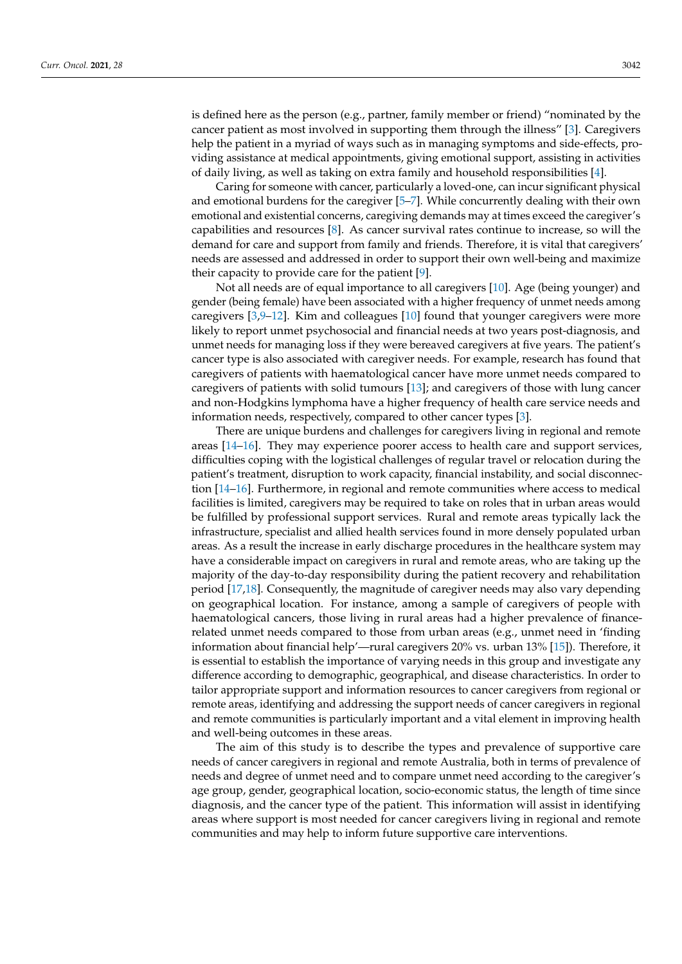is defined here as the person (e.g., partner, family member or friend) "nominated by the cancer patient as most involved in supporting them through the illness" [\[3\]](#page-14-2). Caregivers help the patient in a myriad of ways such as in managing symptoms and side-effects, providing assistance at medical appointments, giving emotional support, assisting in activities of daily living, as well as taking on extra family and household responsibilities [\[4\]](#page-14-3).

Caring for someone with cancer, particularly a loved-one, can incur significant physical and emotional burdens for the caregiver [\[5–](#page-14-4)[7\]](#page-15-0). While concurrently dealing with their own emotional and existential concerns, caregiving demands may at times exceed the caregiver's capabilities and resources [\[8\]](#page-15-1). As cancer survival rates continue to increase, so will the demand for care and support from family and friends. Therefore, it is vital that caregivers' needs are assessed and addressed in order to support their own well-being and maximize their capacity to provide care for the patient [\[9\]](#page-15-2).

Not all needs are of equal importance to all caregivers [\[10\]](#page-15-3). Age (being younger) and gender (being female) have been associated with a higher frequency of unmet needs among caregivers [\[3,](#page-14-2)[9](#page-15-2)[–12\]](#page-15-4). Kim and colleagues [\[10\]](#page-15-3) found that younger caregivers were more likely to report unmet psychosocial and financial needs at two years post-diagnosis, and unmet needs for managing loss if they were bereaved caregivers at five years. The patient's cancer type is also associated with caregiver needs. For example, research has found that caregivers of patients with haematological cancer have more unmet needs compared to caregivers of patients with solid tumours [\[13\]](#page-15-5); and caregivers of those with lung cancer and non-Hodgkins lymphoma have a higher frequency of health care service needs and information needs, respectively, compared to other cancer types [\[3\]](#page-14-2).

There are unique burdens and challenges for caregivers living in regional and remote areas [\[14](#page-15-6)[–16\]](#page-15-7). They may experience poorer access to health care and support services, difficulties coping with the logistical challenges of regular travel or relocation during the patient's treatment, disruption to work capacity, financial instability, and social disconnection [\[14–](#page-15-6)[16\]](#page-15-7). Furthermore, in regional and remote communities where access to medical facilities is limited, caregivers may be required to take on roles that in urban areas would be fulfilled by professional support services. Rural and remote areas typically lack the infrastructure, specialist and allied health services found in more densely populated urban areas. As a result the increase in early discharge procedures in the healthcare system may have a considerable impact on caregivers in rural and remote areas, who are taking up the majority of the day-to-day responsibility during the patient recovery and rehabilitation period [\[17](#page-15-8)[,18\]](#page-15-9). Consequently, the magnitude of caregiver needs may also vary depending on geographical location. For instance, among a sample of caregivers of people with haematological cancers, those living in rural areas had a higher prevalence of financerelated unmet needs compared to those from urban areas (e.g., unmet need in 'finding information about financial help'—rural caregivers 20% vs. urban 13% [\[15\]](#page-15-10)). Therefore, it is essential to establish the importance of varying needs in this group and investigate any difference according to demographic, geographical, and disease characteristics. In order to tailor appropriate support and information resources to cancer caregivers from regional or remote areas, identifying and addressing the support needs of cancer caregivers in regional and remote communities is particularly important and a vital element in improving health and well-being outcomes in these areas.

The aim of this study is to describe the types and prevalence of supportive care needs of cancer caregivers in regional and remote Australia, both in terms of prevalence of needs and degree of unmet need and to compare unmet need according to the caregiver's age group, gender, geographical location, socio-economic status, the length of time since diagnosis, and the cancer type of the patient. This information will assist in identifying areas where support is most needed for cancer caregivers living in regional and remote communities and may help to inform future supportive care interventions.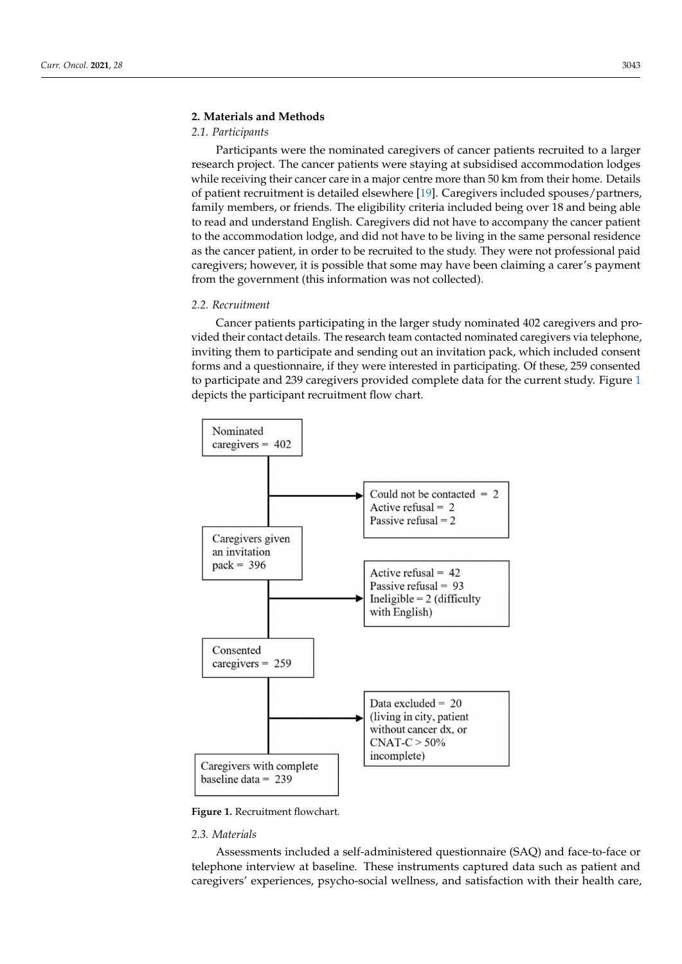# **2. Materials and Methods 2. Materials and Methods**

# *2.1. Participants 2.1. Participants*

Participants were the nominated caregivers of cancer patients recruited to a larger Participants were the nominated caregivers of cancer patients recruited to a larger research project. The cancer patients were staying at subsidised accommodation lodges research project. The cancer patients were staying at subsidised accommodation lodges while receiving their cancer care in a major centre more than 50 km from their home. Details of patient recruitment is detailed elsewhere [\[19\]](#page-15-11). Caregivers included spouses/partners, family members, or friends. The eligibility criteria included being over 18 and being able to read and understand English. Caregivers did not have to accompany the cancer patient to the accommodation lodge, and did not have to be living in the same personal residence as the cancer patient, in order to be recruited to the study. They were not professional paid caregivers; however, it is possible that some may have been claiming a carer's payment from the government (this information was not collected).

munities and may help to inform future supportive care interventions.

## *2.2. Recruitment 2.2. Recruitment*

Cancer patients participating in the larger study nominated 402 caregivers and pro-Cancer patients participating in the larger study nominated 402 caregivers and provided their contact details. The research team contacted nominated caregivers via telephone, inviting them to participate and sending out an invitation pack, which included consent forms and a questionnaire, if they were interested in participating. Of these, 259 consented to participate and 239 caregivers provided complete data for the current study. Figure [1](#page-2-0) depicts the participant recruitment flow chart.

<span id="page-2-0"></span>

**Figure 1.** Recruitment flowchart. **Figure 1.** Recruitment flowchart.

# *2.3. Materials 2.3. Materials*

Assessments included a self-administered questionnaire (SAQ) and face-to-face or telephone interview at baseline. These instruments captured data such as patient and caregivers' experiences, psycho-social wellness, and satisfaction with their health care,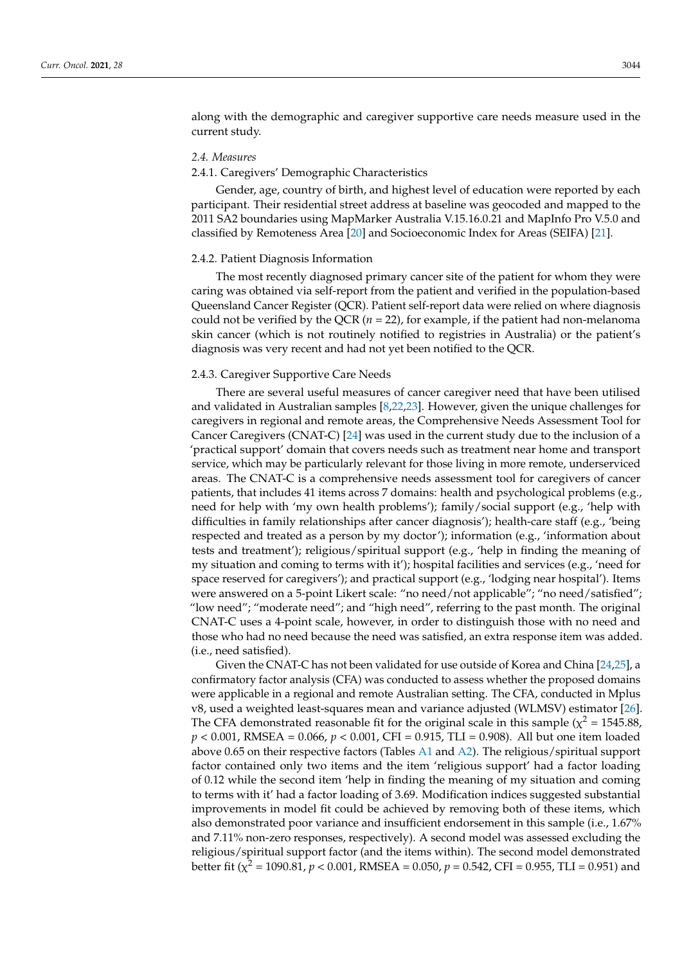along with the demographic and caregiver supportive care needs measure used in the current study.

#### *2.4. Measures*

### 2.4.1. Caregivers' Demographic Characteristics

Gender, age, country of birth, and highest level of education were reported by each participant. Their residential street address at baseline was geocoded and mapped to the 2011 SA2 boundaries using MapMarker Australia V.15.16.0.21 and MapInfo Pro V.5.0 and classified by Remoteness Area [\[20\]](#page-15-12) and Socioeconomic Index for Areas (SEIFA) [\[21\]](#page-15-13).

#### 2.4.2. Patient Diagnosis Information

The most recently diagnosed primary cancer site of the patient for whom they were caring was obtained via self-report from the patient and verified in the population-based Queensland Cancer Register (QCR). Patient self-report data were relied on where diagnosis could not be verified by the QCR  $(n = 22)$ , for example, if the patient had non-melanoma skin cancer (which is not routinely notified to registries in Australia) or the patient's diagnosis was very recent and had not yet been notified to the QCR.

## 2.4.3. Caregiver Supportive Care Needs

There are several useful measures of cancer caregiver need that have been utilised and validated in Australian samples [\[8,](#page-15-1)[22,](#page-15-14)[23\]](#page-15-15). However, given the unique challenges for caregivers in regional and remote areas, the Comprehensive Needs Assessment Tool for Cancer Caregivers (CNAT-C) [\[24\]](#page-15-16) was used in the current study due to the inclusion of a 'practical support' domain that covers needs such as treatment near home and transport service, which may be particularly relevant for those living in more remote, underserviced areas. The CNAT-C is a comprehensive needs assessment tool for caregivers of cancer patients, that includes 41 items across 7 domains: health and psychological problems (e.g., need for help with 'my own health problems'); family/social support (e.g., 'help with difficulties in family relationships after cancer diagnosis'); health-care staff (e.g., 'being respected and treated as a person by my doctor'); information (e.g., 'information about tests and treatment'); religious/spiritual support (e.g., 'help in finding the meaning of my situation and coming to terms with it'); hospital facilities and services (e.g., 'need for space reserved for caregivers'); and practical support (e.g., 'lodging near hospital'). Items were answered on a 5-point Likert scale: "no need/not applicable"; "no need/satisfied"; "low need"; "moderate need"; and "high need", referring to the past month. The original CNAT-C uses a 4-point scale, however, in order to distinguish those with no need and those who had no need because the need was satisfied, an extra response item was added. (i.e., need satisfied).

Given the CNAT-C has not been validated for use outside of Korea and China [\[24,](#page-15-16)[25\]](#page-15-17), a confirmatory factor analysis (CFA) was conducted to assess whether the proposed domains were applicable in a regional and remote Australian setting. The CFA, conducted in Mplus v8, used a weighted least-squares mean and variance adjusted (WLMSV) estimator [\[26\]](#page-15-18). The CFA demonstrated reasonable fit for the original scale in this sample ( $\chi^2$  = 1545.88, *p* < 0.001, RMSEA = 0.066, *p* < 0.001, CFI = 0.915, TLI = 0.908). All but one item loaded above 0.65 on their respective factors (Tables [A1](#page-13-0) and [A2\)](#page-14-5). The religious/spiritual support factor contained only two items and the item 'religious support' had a factor loading of 0.12 while the second item 'help in finding the meaning of my situation and coming to terms with it' had a factor loading of 3.69. Modification indices suggested substantial improvements in model fit could be achieved by removing both of these items, which also demonstrated poor variance and insufficient endorsement in this sample (i.e., 1.67% and 7.11% non-zero responses, respectively). A second model was assessed excluding the religious/spiritual support factor (and the items within). The second model demonstrated better fit ( $\chi^2$  = 1090.81*, p <* 0.001*,* RMSEA = 0.050*, p = 0.542, CFI = 0.955, TLI = 0.951) and*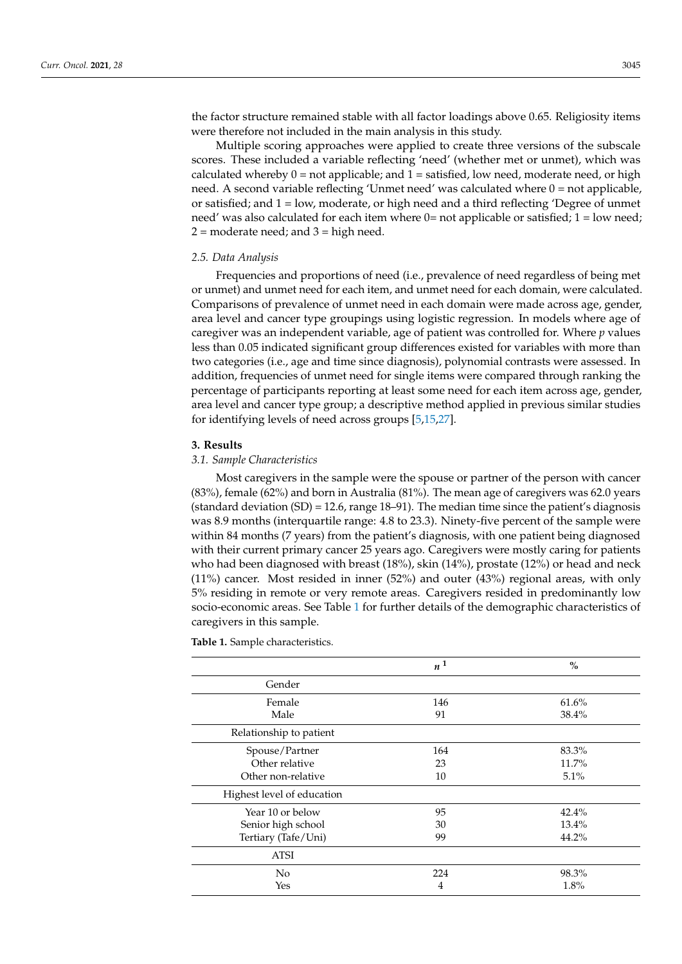the factor structure remained stable with all factor loadings above 0.65. Religiosity items were therefore not included in the main analysis in this study.

Multiple scoring approaches were applied to create three versions of the subscale scores. These included a variable reflecting 'need' (whether met or unmet), which was calculated whereby  $0 =$  not applicable; and  $1 =$  satisfied, low need, moderate need, or high need. A second variable reflecting 'Unmet need' was calculated where 0 = not applicable, or satisfied; and 1 = low, moderate, or high need and a third reflecting 'Degree of unmet need' was also calculated for each item where 0= not applicable or satisfied; 1 = low need;  $2 =$  moderate need; and  $3 =$  high need.

#### *2.5. Data Analysis*

Frequencies and proportions of need (i.e., prevalence of need regardless of being met or unmet) and unmet need for each item, and unmet need for each domain, were calculated. Comparisons of prevalence of unmet need in each domain were made across age, gender, area level and cancer type groupings using logistic regression. In models where age of caregiver was an independent variable, age of patient was controlled for. Where *p* values less than 0.05 indicated significant group differences existed for variables with more than two categories (i.e., age and time since diagnosis), polynomial contrasts were assessed. In addition, frequencies of unmet need for single items were compared through ranking the percentage of participants reporting at least some need for each item across age, gender, area level and cancer type group; a descriptive method applied in previous similar studies for identifying levels of need across groups [\[5](#page-14-4)[,15](#page-15-10)[,27\]](#page-15-19).

### **3. Results**

# *3.1. Sample Characteristics*

Most caregivers in the sample were the spouse or partner of the person with cancer (83%), female (62%) and born in Australia (81%). The mean age of caregivers was 62.0 years (standard deviation (SD) = 12.6, range 18–91). The median time since the patient's diagnosis was 8.9 months (interquartile range: 4.8 to 23.3). Ninety-five percent of the sample were within 84 months (7 years) from the patient's diagnosis, with one patient being diagnosed with their current primary cancer 25 years ago. Caregivers were mostly caring for patients who had been diagnosed with breast (18%), skin (14%), prostate (12%) or head and neck (11%) cancer. Most resided in inner (52%) and outer (43%) regional areas, with only 5% residing in remote or very remote areas. Caregivers resided in predominantly low socio-economic areas. See Table [1](#page-4-0) for further details of the demographic characteristics of caregivers in this sample.

|                            | $n^1$          | $\%$  |
|----------------------------|----------------|-------|
| Gender                     |                |       |
| Female                     | 146            | 61.6% |
| Male                       | 91             | 38.4% |
| Relationship to patient    |                |       |
| Spouse/Partner             | 164            | 83.3% |
| Other relative             | 23             | 11.7% |
| Other non-relative         | 10             | 5.1%  |
| Highest level of education |                |       |
| Year 10 or below           | 95             | 42.4% |
| Senior high school         | 30             | 13.4% |
| Tertiary (Tafe/Uni)        | 99             | 44.2% |
| ATSI                       |                |       |
| N <sub>0</sub>             | 224            | 98.3% |
| Yes                        | $\overline{4}$ | 1.8%  |

<span id="page-4-0"></span>**Table 1.** Sample characteristics.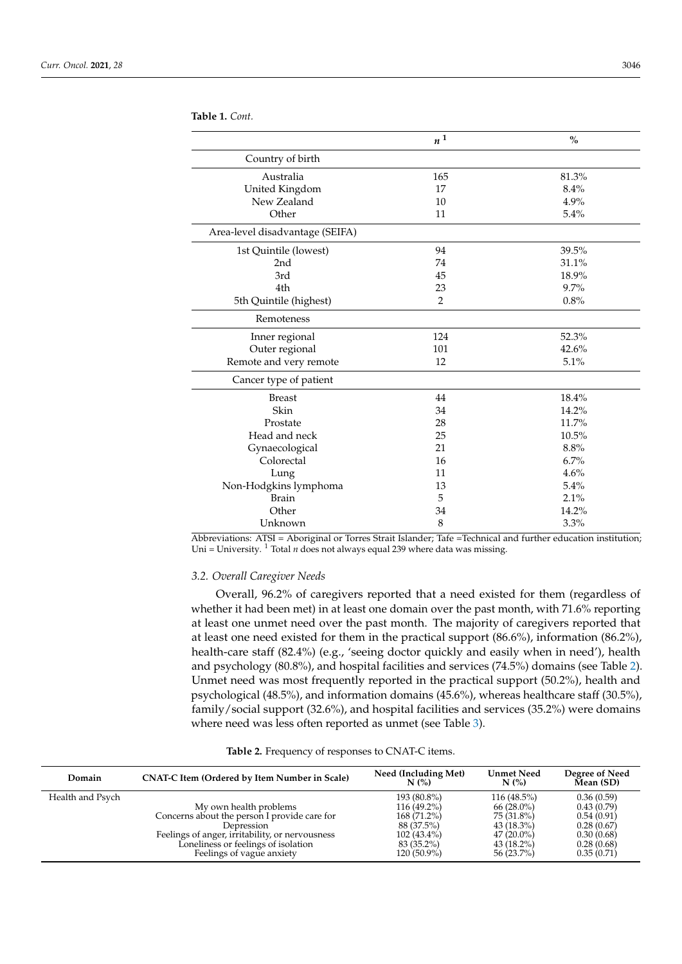|                                 | $\boldsymbol{n}^{\,1}$ | $\frac{0}{0}$ |
|---------------------------------|------------------------|---------------|
| Country of birth                |                        |               |
| Australia                       | 165                    | 81.3%         |
| United Kingdom                  | 17                     | 8.4%          |
| New Zealand                     | 10                     | 4.9%          |
| Other                           | 11                     | 5.4%          |
| Area-level disadvantage (SEIFA) |                        |               |
| 1st Quintile (lowest)           | 94                     | 39.5%         |
| 2nd                             | 74                     | 31.1%         |
| 3rd                             | 45                     | 18.9%         |
| 4th                             | 23                     | 9.7%          |
| 5th Quintile (highest)          | $\overline{2}$         | 0.8%          |
| Remoteness                      |                        |               |
| Inner regional                  | 124                    | 52.3%         |
| Outer regional                  | 101                    | 42.6%         |
| Remote and very remote          | 12                     | 5.1%          |
| Cancer type of patient          |                        |               |
| <b>Breast</b>                   | 44                     | 18.4%         |
| Skin                            | 34                     | 14.2%         |
| Prostate                        | 28                     | 11.7%         |
| Head and neck                   | 25                     | 10.5%         |
| Gynaecological                  | 21                     | 8.8%          |
| Colorectal                      | 16                     | 6.7%          |
| Lung                            | 11                     | 4.6%          |
| Non-Hodgkins lymphoma           | 13                     | 5.4%          |
| <b>Brain</b>                    | 5                      | 2.1%          |
| Other                           | 34                     | 14.2%         |
| Unknown                         | 8                      | 3.3%          |

Abbreviations: ATSI = Aboriginal or Torres Strait Islander; Tafe =Technical and further education institution; Uni = University. <sup>1</sup> Total *n* does not always equal 239 where data was missing.

# *3.2. Overall Caregiver Needs*

**Table 1.** *Cont.*

Overall, 96.2% of caregivers reported that a need existed for them (regardless of whether it had been met) in at least one domain over the past month, with 71.6% reporting at least one unmet need over the past month. The majority of caregivers reported that at least one need existed for them in the practical support (86.6%), information (86.2%), health-care staff (82.4%) (e.g., 'seeing doctor quickly and easily when in need'), health and psychology (80.8%), and hospital facilities and services (74.5%) domains (see Table [2\)](#page-5-0). Unmet need was most frequently reported in the practical support (50.2%), health and psychological (48.5%), and information domains (45.6%), whereas healthcare staff (30.5%), family/social support (32.6%), and hospital facilities and services (35.2%) were domains where need was less often reported as unmet (see Table [3\)](#page-8-0).

# **Table 2.** Frequency of responses to CNAT-C items.

<span id="page-5-0"></span>

| Domain           | <b>CNAT-C Item (Ordered by Item Number in Scale)</b> | Need (Including Met)<br>$N$ (%) | <b>Unmet Need</b><br>N(%) | Degree of Need<br>Mean (SD) |
|------------------|------------------------------------------------------|---------------------------------|---------------------------|-----------------------------|
| Health and Psych |                                                      | 193 (80.8%)                     | $116(48.5\%)$             | 0.36(0.59)                  |
|                  | My own health problems                               | 116 (49.2%)                     | $66(28.0\%)$              | 0.43(0.79)                  |
|                  | Concerns about the person I provide care for         | 168 (71.2%)                     | 75 (31.8%)                | 0.54(0.91)                  |
|                  | Depression                                           | 88 (37.5%)                      | $43(18.3\%)$              | 0.28(0.67)                  |
|                  | Feelings of anger, irritability, or nervousness      | $102(43.4\%)$                   | $47(20.0\%)$              | 0.30(0.68)                  |
|                  | Loneliness or feelings of isolation                  | 83 (35.2%)                      | $43(18.2\%)$              | 0.28(0.68)                  |
|                  | Feelings of vague anxiety                            | $120(50.9\%)$                   | 56 (23.7%)                | 0.35(0.71)                  |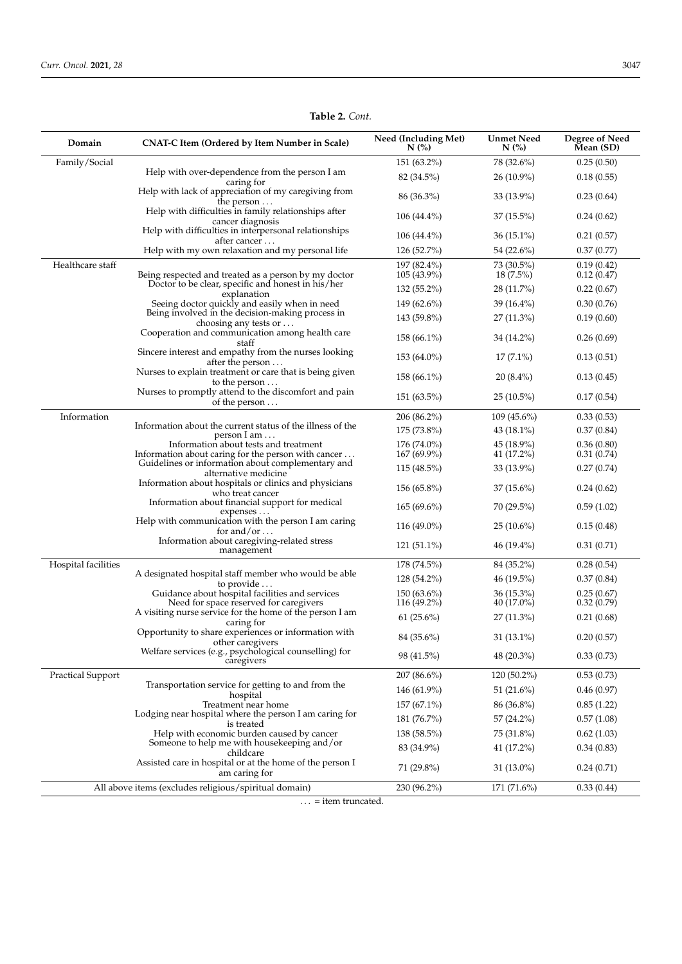| Domain                   | CNAT-C Item (Ordered by Item Number in Scale)                                                              | Need (Including Met)<br>$N$ (%) | <b>Unmet Need</b><br>$N$ (%) | Degree of Need<br>Mean (SD) |
|--------------------------|------------------------------------------------------------------------------------------------------------|---------------------------------|------------------------------|-----------------------------|
| Family/Social            |                                                                                                            | 151 (63.2%)                     | 78 (32.6%)                   | 0.25(0.50)                  |
|                          | Help with over-dependence from the person I am                                                             | 82 (34.5%)                      | $26(10.9\%)$                 | 0.18(0.55)                  |
|                          | caring for<br>Help with lack of appreciation of my caregiving from<br>the person $\dots$                   | $86(36.3\%)$                    | $33(13.9\%)$                 | 0.23(0.64)                  |
|                          | Help with difficulties in family relationships after<br>cancer diagnosis                                   | $106(44.4\%)$                   | $37(15.5\%)$                 | 0.24(0.62)                  |
|                          | Help with difficulties in interpersonal relationships<br>after cancer                                      | $106(44.4\%)$                   | $36(15.1\%)$                 | 0.21(0.57)                  |
|                          | Help with my own relaxation and my personal life                                                           | 126(52.7%)                      | 54 (22.6%)                   | 0.37(0.77)                  |
| Healthcare staff         |                                                                                                            | 197 (82.4%)                     | 73 (30.5%)                   | 0.19(0.42)                  |
|                          | Being respected and treated as a person by my doctor<br>Doctor to be clear, specific and honest in his/her | 105 (43.9%)<br>$132(55.2\%)$    | $18(7.5\%)$<br>28 (11.7%)    | 0.12(0.47)<br>0.22(0.67)    |
|                          | explanation<br>Seeing doctor quickly and easily when in need                                               | 149 (62.6%)                     | 39 $(16.4\%)$                |                             |
|                          | Being involved in the decision-making process in                                                           |                                 |                              | 0.30(0.76)                  |
|                          | choosing any tests or $\dots$                                                                              | 143 (59.8%)                     | $27(11.3\%)$                 | 0.19(0.60)                  |
|                          | Cooperation and communication among health care<br>staff                                                   | $158(66.1\%)$                   | 34 (14.2%)                   | 0.26(0.69)                  |
|                          | Sincere interest and empathy from the nurses looking<br>after the person $\dots$                           | $153(64.0\%)$                   | $17(7.1\%)$                  | 0.13(0.51)                  |
|                          | Nurses to explain treatment or care that is being given<br>to the person                                   | $158(66.1\%)$                   | $20(8.4\%)$                  | 0.13(0.45)                  |
|                          | Nurses to promptly attend to the discomfort and pain<br>of the person $\dots$                              | $151(63.5\%)$                   | $25(10.5\%)$                 | 0.17(0.54)                  |
| Information              |                                                                                                            | 206 (86.2%)                     | $109(45.6\%)$                | 0.33(0.53)                  |
|                          | Information about the current status of the illness of the<br>person I am                                  | $175(73.8\%)$                   | 43 (18.1%)                   | 0.37(0.84)                  |
|                          | Information about tests and treatment                                                                      | $176(74.0\%)$                   | 45 (18.9%)                   | 0.36(0.80)                  |
|                          | Information about caring for the person with cancer                                                        | $167(69.9\%)$                   | 41 (17.2%)                   | 0.31(0.74)                  |
|                          | Guidelines or information about complementary and<br>alternative medicine                                  | $115(48.5\%)$                   | $33(13.9\%)$                 | 0.27(0.74)                  |
|                          | Information about hospitals or clinics and physicians<br>who treat cancer                                  | $156(65.8\%)$                   | $37(15.6\%)$                 | 0.24(0.62)                  |
|                          | Information about financial support for medical<br>expenses                                                | $165(69.6\%)$                   | 70 (29.5%)                   | 0.59(1.02)                  |
|                          | Help with communication with the person I am caring<br>for and/or $\dots$                                  | $116(49.0\%)$                   | $25(10.6\%)$                 | 0.15(0.48)                  |
|                          | Information about caregiving-related stress<br>management                                                  | $121(51.1\%)$                   | 46 (19.4%)                   | 0.31(0.71)                  |
| Hospital facilities      |                                                                                                            | 178 (74.5%)                     | 84 (35.2%)                   | 0.28(0.54)                  |
|                          | A designated hospital staff member who would be able                                                       | 128 (54.2%)                     | 46 (19.5%)                   | 0.37(0.84)                  |
|                          | to provide $\dots$<br>Guidance about hospital facilities and services                                      | $150(63.6\%)$                   | $36(15.3\%)$                 | 0.25(0.67)                  |
|                          | Need for space reserved for caregivers                                                                     | $116(49.2\%)$                   | $40(17.0\%)$                 | 0.32(0.79)                  |
|                          | A visiting nurse service for the home of the person I am<br>caring for                                     | $61(25.6\%)$                    | $27(11.3\%)$                 | 0.21(0.68)                  |
|                          | Opportunity to share experiences or information with<br>other caregivers                                   | 84 (35.6%)                      | $31(13.1\%)$                 | 0.20(0.57)                  |
|                          | Welfare services (e.g., psychological counselling) for<br>caregivers                                       | 98 (41.5%)                      | 48 (20.3%)                   | 0.33(0.73)                  |
| <b>Practical Support</b> |                                                                                                            | 207 (86.6%)                     | 120 (50.2%)                  | 0.53(0.73)                  |
|                          | Transportation service for getting to and from the                                                         | 146 (61.9%)                     | 51 $(21.6\%)$                | 0.46(0.97)                  |
|                          | hospital<br>Treatment near home                                                                            | 157 (67.1%)                     | 86 (36.8%)                   | 0.85(1.22)                  |
|                          | Lodging near hospital where the person I am caring for                                                     | 181(76.7%)                      | 57 (24.2%)                   | 0.57(1.08)                  |
|                          | is treated<br>Help with economic burden caused by cancer                                                   | 138 (58.5%)                     | 75 (31.8%)                   | 0.62(1.03)                  |
|                          | Someone to help me with housekeeping and/or                                                                | 83 (34.9%)                      | 41 (17.2%)                   | 0.34(0.83)                  |
|                          | childcare                                                                                                  |                                 |                              |                             |
|                          | Assisted care in hospital or at the home of the person I<br>am caring for                                  | 71 (29.8%)                      | 31 (13.0%)                   | 0.24(0.71)                  |
|                          | All above items (excludes religious/spiritual domain)                                                      | 230 (96.2%)                     | 171 (71.6%)                  | 0.33(0.44)                  |
|                          | $\ldots$ = item truncated.                                                                                 |                                 |                              |                             |

# **Table 2.** *Cont.*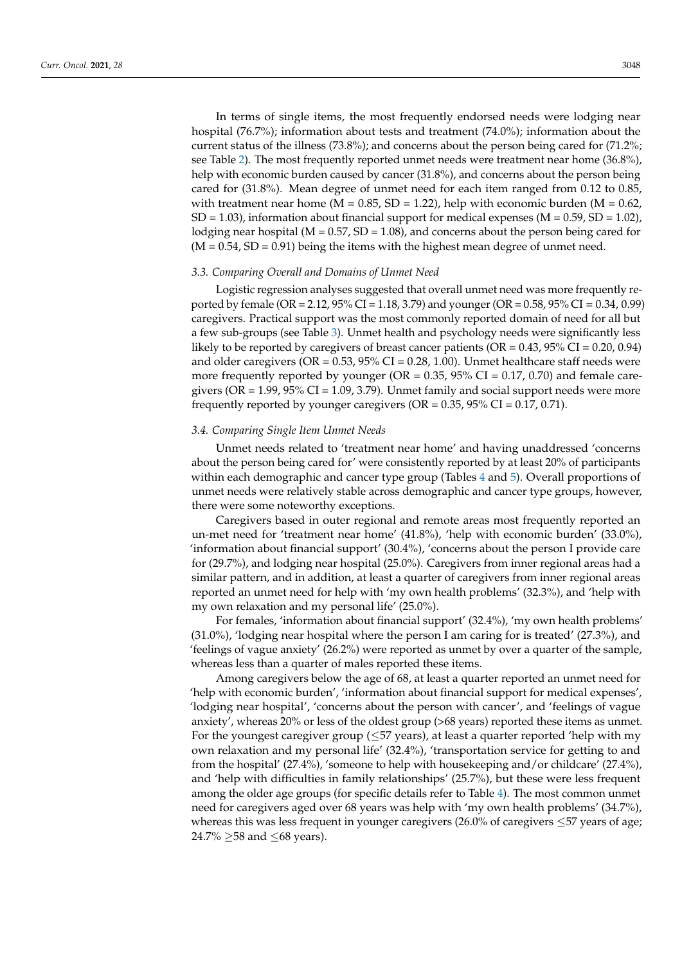In terms of single items, the most frequently endorsed needs were lodging near hospital (76.7%); information about tests and treatment (74.0%); information about the current status of the illness (73.8%); and concerns about the person being cared for (71.2%; see Table [2\)](#page-5-0). The most frequently reported unmet needs were treatment near home (36.8%), help with economic burden caused by cancer (31.8%), and concerns about the person being cared for (31.8%). Mean degree of unmet need for each item ranged from 0.12 to 0.85, with treatment near home ( $M = 0.85$ , SD = 1.22), help with economic burden ( $M = 0.62$ ,  $SD = 1.03$ ), information about financial support for medical expenses ( $M = 0.59$ ,  $SD = 1.02$ ), lodging near hospital ( $M = 0.57$ ,  $SD = 1.08$ ), and concerns about the person being cared for  $(M = 0.54, SD = 0.91)$  being the items with the highest mean degree of unmet need.

#### *3.3. Comparing Overall and Domains of Unmet Need*

Logistic regression analyses suggested that overall unmet need was more frequently reported by female (OR = 2.12, 95% CI = 1.18, 3.79) and younger (OR = 0.58, 95% CI = 0.34, 0.99) caregivers. Practical support was the most commonly reported domain of need for all but a few sub-groups (see Table [3\)](#page-8-0). Unmet health and psychology needs were significantly less likely to be reported by caregivers of breast cancer patients ( $OR = 0.43$ ,  $95\% CI = 0.20$ , 0.94) and older caregivers ( $OR = 0.53$ ,  $95\%$  CI = 0.28, 1.00). Unmet healthcare staff needs were more frequently reported by younger (OR =  $0.35$ ,  $95\%$  CI =  $0.17$ ,  $0.70$ ) and female caregivers ( $OR = 1.99$ ,  $95\%$   $CI = 1.09$ , 3.79). Unmet family and social support needs were more frequently reported by younger caregivers ( $OR = 0.35$ ,  $95\% CI = 0.17$ , 0.71).

## *3.4. Comparing Single Item Unmet Needs*

Unmet needs related to 'treatment near home' and having unaddressed 'concerns about the person being cared for' were consistently reported by at least 20% of participants within each demographic and cancer type group (Tables [4](#page-9-0) and [5\)](#page-10-0). Overall proportions of unmet needs were relatively stable across demographic and cancer type groups, however, there were some noteworthy exceptions.

Caregivers based in outer regional and remote areas most frequently reported an un-met need for 'treatment near home' (41.8%), 'help with economic burden' (33.0%), 'information about financial support' (30.4%), 'concerns about the person I provide care for (29.7%), and lodging near hospital (25.0%). Caregivers from inner regional areas had a similar pattern, and in addition, at least a quarter of caregivers from inner regional areas reported an unmet need for help with 'my own health problems' (32.3%), and 'help with my own relaxation and my personal life' (25.0%).

For females, 'information about financial support' (32.4%), 'my own health problems' (31.0%), 'lodging near hospital where the person I am caring for is treated' (27.3%), and 'feelings of vague anxiety' (26.2%) were reported as unmet by over a quarter of the sample, whereas less than a quarter of males reported these items.

Among caregivers below the age of 68, at least a quarter reported an unmet need for 'help with economic burden', 'information about financial support for medical expenses', 'lodging near hospital', 'concerns about the person with cancer', and 'feelings of vague anxiety', whereas 20% or less of the oldest group (>68 years) reported these items as unmet. For the youngest caregiver group ( $\leq$ 57 years), at least a quarter reported 'help with my own relaxation and my personal life' (32.4%), 'transportation service for getting to and from the hospital' (27.4%), 'someone to help with housekeeping and/or childcare' (27.4%), and 'help with difficulties in family relationships' (25.7%), but these were less frequent among the older age groups (for specific details refer to Table [4\)](#page-9-0). The most common unmet need for caregivers aged over 68 years was help with 'my own health problems' (34.7%), whereas this was less frequent in younger caregivers  $(26.0\%$  of caregivers  $\leq 57$  years of age; 24.7%  $\geq$ 58 and  $\leq$ 68 years).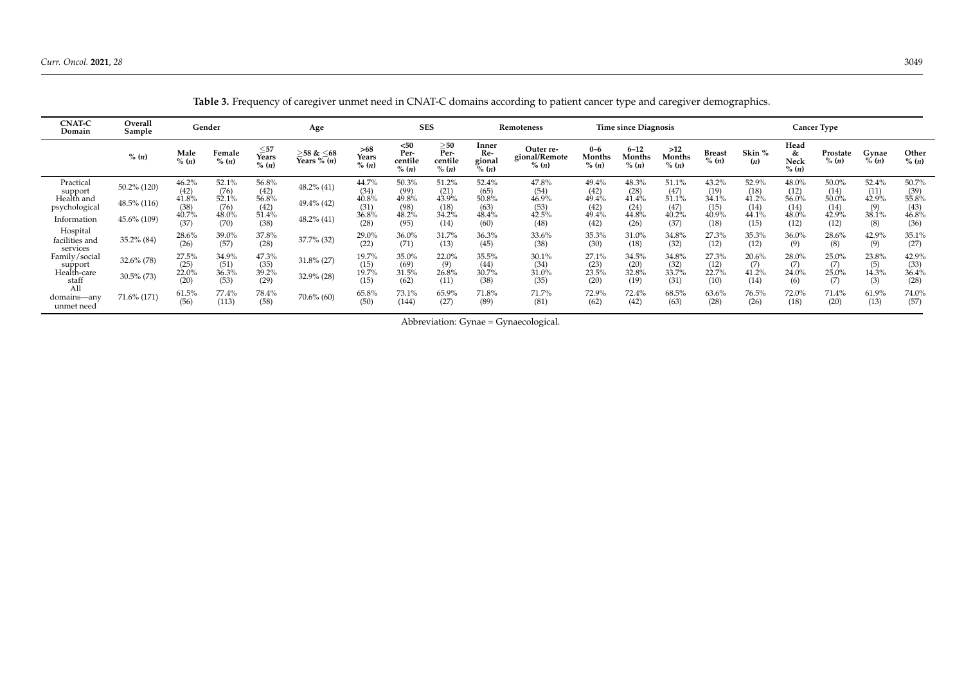**CNAT-C Domain**

Practical

support<br>Health and<br>psychological

Hospital facilities and services

Family/social

Health-care<br>staff

<span id="page-8-0"></span>All domains—any unmet need

Information  $45.6\%$  (109)

**Overall**

48.5% (116)

 $30.5\%$  (73)

71.6% (171)

 $\begin{array}{r} 50.2\% (120) \ \hline (42) \ \hline 49.5\% (111) \end{array}$ 

 $35.2\% (84)$   $\frac{28.6\%}{(26)}$ 

 $32.6\%$  (78)  $^{27.5\%}$ 

48.0% (70)

39.0% (57)

34.9%  $(51)$ 

36.3% (53)

77.4% (113)

 $\frac{51.4\%}{(38)}$ 

 $37.8\%$ <br>(28)

 $47.3\%$ <br> $(35)$ 

 $\frac{39.2\%}{(29)}$ 

78.4%

48.2% (41)

 $32.9\%$  (28)

 $37.7\%$  (32)  $\frac{29.0\%}{(22)}$ 

 $31.8\% (27)$   $19.7\%$ <br>(15)<br>(2006)  $19.7\%$ 

 $70.6\%$  (60) 65.8%

(28)

(22)

 $(15)$ 

(15)

(50)

48.2% (95)

36.0% (71)

35.0%  $(69)$ 

31.5% (62)

73.1% (144)

(14)

31.7% (13)

22.0%  $(9)$ 

26.8% (11)

65.9% (27)

(37)

(26)

 $(25)$ <br>22.0%

(20)

 $61.5\%$ <br>(56)

|                   |                 |                      |                                              |                                              |                       |                                  |                                            |                                 | Table 3. Frequency of caregiver unmet need in CNAT-C domains according to patient cancer type and caregiver demographics. |                            |                             |                                                        |                        |                        |                            |                             |                  |                            |
|-------------------|-----------------|----------------------|----------------------------------------------|----------------------------------------------|-----------------------|----------------------------------|--------------------------------------------|---------------------------------|---------------------------------------------------------------------------------------------------------------------------|----------------------------|-----------------------------|--------------------------------------------------------|------------------------|------------------------|----------------------------|-----------------------------|------------------|----------------------------|
| Overall<br>Sample |                 | Gender               |                                              | Age                                          |                       | <b>SES</b>                       |                                            |                                 | <b>Remoteness</b>                                                                                                         |                            | <b>Time since Diagnosis</b> |                                                        |                        |                        |                            | <b>Cancer Type</b>          |                  |                            |
| $\%$ $(n)$        | Male<br>% $(n)$ | Female<br>$\%$ $(n)$ | $\frac{\leq 57}{\text{Years}}$<br>$\%$ $(n)$ | $\geq 58 \& \leq 68$<br>Years % ( <i>n</i> ) | >68<br>Years<br>% (n) | $50$<br>Per-<br>centile<br>% (n) | $\geqslant 50$<br>Per-<br>centile<br>% (n) | Inner<br>Re-<br>gional<br>% (n) | Outer re-<br>gional/Remote<br>% $(n)$                                                                                     | $0 - 6$<br>Months<br>% (n) | $6 - 12$<br>Months<br>% (n) | >12<br>Months<br>% (n)                                 | <b>Breast</b><br>% (n) | Skin %<br>( <i>n</i> ) | Head<br>&<br>Neck<br>% (n) | Prostate<br>% (n)           | Gvnae<br>% (n)   | Other<br>% (n)             |
| $0.2\%$ (120)     | 46.2%           | 52.1%<br>(76)        | 56.8%<br>(42)                                | $48.2\%$ (41)                                | 44.7%<br>(34)         | 50.3%<br>$(99)$<br>49.8%         | 51.2%<br>(21)                              | 52.4%<br>(65)                   | 47.8%<br>$(54)$<br>46.9%                                                                                                  | 49.4%<br>(42)              | 48.3%<br>$^{(28)}_{41.4\%}$ | 51.1%<br>(47)                                          | 43.2%<br>(19)          | 52.9%<br>(18)          | 48.0%<br>$(12)$<br>56.0%   | $50.0\%$<br>(14)            | $52.4\%$<br>(11) | 50.7%<br>(39)              |
| $3.5\%$ (116)     | 41.8%<br>(38)   | 52.1%<br>(76)        | 56.8%<br>(42)                                | $49.4\%$ (42)                                | 40.8%<br>(31)         | (98)                             | 43.9%<br>(18)                              | 50.8%<br>(63)                   | (53)                                                                                                                      | 49.4%<br>(42)              | $(24)$<br>44.8%             | 51.1%<br>$\begin{array}{c} (47) \\ 40.2\% \end{array}$ | 34.1%<br>(15)          | 41.2%<br>(14)          | $(14)$<br>48.0%            | $50.0\%$<br>$(14)$<br>42.9% | 42.9%<br>(9)     | 55.8%<br>$(43)$<br>$46.8%$ |
| 56% (109)         | 40.7%           | 48.0%                | 51.4%                                        | $48.2\%$ (41)                                | 36.8%                 | 48.2%                            | 34.2%                                      | 48.4%                           | 42.5%                                                                                                                     | 49.4%                      |                             |                                                        | 40.9%                  | 44.1%                  |                            |                             | 38.1%            |                            |

49.4% (42)

35.3% (30)

27.1%  $(23)$ 

 $23.5%$ (20)

72.9% (62)

44.8% (26)

31.0% (18)

34.5%  $(20)$ 

32.8% (19)

72.4% (42)

(37)

34.8% (32)

34.8%  $(32)$ 

33.7% (31)

68.5% (63)

40.9% (18)

27.3% (12)

27.3%  $(12)$ 

 $22.7%$ (10)

63.6% (28)

44.1% (15)

35.3% (12)

20.6% (7) 41.2%

(14)

76.5% (26)

48.0% (12)

36.0% (9)

28.0%  $\overline{7}$ 

 $24.0%$ (6)

72.0% (18)

(12)

28.6% (8)

25.0% (7)

25.0% (7)

71.4% (20)

(8)

42.9% (9)

23.8%  $\left(5\right)$ 

 $14.3%$ (3)

61.9% (13)

Abbreviation: Gynae = Gynaecological.

48.4% (60)

36.3% (45)

35.5%  $(44)$ 

30.7% (38)

71.8% (89)

(48)

33.6% (38)

30.1%  $(34)$ 

 $31.0%$ (35)

71.7% (81)

46.8% (36)

35.1% (27)

42.9%  $(33)$ 

36.4% (28)

74.0% (57)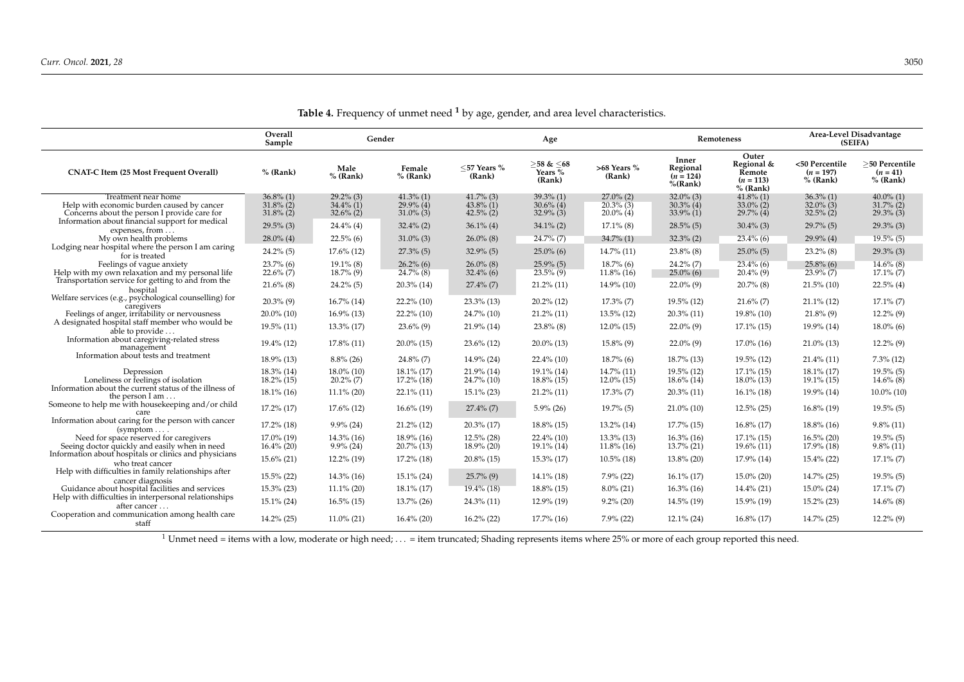|                                                                                                                   | Overall<br>Sample                            |                                              | Gender                                       |                                              | Age                                                      |                                              |                                              | Remoteness                                                 | Area-Level Disadvantage<br>(SEIFA)           |                                              |  |
|-------------------------------------------------------------------------------------------------------------------|----------------------------------------------|----------------------------------------------|----------------------------------------------|----------------------------------------------|----------------------------------------------------------|----------------------------------------------|----------------------------------------------|------------------------------------------------------------|----------------------------------------------|----------------------------------------------|--|
| <b>CNAT-C Item (25 Most Frequent Overall)</b>                                                                     | $%$ (Rank)                                   | Male<br>$%$ (Rank)                           | Female<br>$%$ (Rank)                         | $<$ 57 Years %<br>(Rank)                     | $\geq$ 58 & $\leq$ 68<br>Years $\overline{\%}$<br>(Rank) | >68 Years %<br>(Rank)                        | Inner<br>Regional<br>$(n = 124)$<br>%(Rank)  | Outer<br>Regional &<br>Remote<br>$(n = 113)$<br>$%$ (Rank) | <50 Percentile<br>$(n = 197)$<br>$%$ (Rank)  | >50 Percentile<br>$(n = 41)$<br>$%$ (Rank)   |  |
| Treatment near home<br>Help with economic burden caused by cancer<br>Concerns about the person I provide care for | $36.8\%$ (1)<br>$31.8\%$ (2)<br>$31.8\%$ (2) | $29.2\%$ (3)<br>$34.4\%$ (1)<br>$32.6\%$ (2) | $41.3\%$ (1)<br>$29.9\%$ (4)<br>$31.0\%$ (3) | $41.7\%$ (3)<br>$43.8\%$ (1)<br>$42.5\%$ (2) | $39.3\%$ (1)<br>$30.6\%$ (4)<br>$32.9\%$ (3)             | $27.0\%$ (2)<br>$20.3\%$ (3)<br>$20.0\%$ (4) | $32.0\%$ (3)<br>$30.3\%$ (4)<br>$33.9\%$ (1) | $41.8\%$ (1)<br>$33.0\%$ (2)<br>$29.7\%$ (4)               | $36.3\%$ (1)<br>$32.0\%$ (3)<br>$32.5\%$ (2) | $40.0\%$ (1)<br>$31.7\%$ (2)<br>$29.3\%$ (3) |  |
| Information about financial support for medical<br>expenses, from                                                 | $29.5\%$ (3)                                 | $24.4\%$ (4)                                 | $32.4\%$ (2)                                 | $36.1\%$ (4)                                 | $34.1\%$ (2)                                             | $17.1\%$ (8)                                 | $28.5\%$ (5)                                 | $30.4\%$ (3)                                               | $29.7\%$ (5)                                 | $29.3\%$ (3)                                 |  |
| My own health problems                                                                                            | $28.0\%$ (4)                                 | $22.5\%$ (6)                                 | $31.0\%$ (3)                                 | $26.0\%$ (8)                                 | $24.7\%$ (7)                                             | $34.7\%$ (1)                                 | $32.3\%$ (2)                                 | $23.4\%$ (6)                                               | $29.9\%$ (4)                                 | $19.5\%$ (5)                                 |  |
| Lodging near hospital where the person I am caring<br>for is treated                                              | $24.2\%$ (5)                                 | $17.6\%$ (12)                                | $27.3\%$ (5)                                 | $32.9\%$ (5)                                 | $25.0\%$ (6)                                             | $14.7\%$ (11)                                | $23.8\%$ (8)                                 | $25.0\%$ (5)                                               | $23.2\%$ (8)                                 | $29.3\%$ (3)                                 |  |
| Feelings of vague anxiety<br>Help with my own relaxation and my personal life                                     | $23.7\%$ (6)<br>$22.6\%$ (7)                 | $19.1\%$ (8)<br>$18.7\%$ (9)                 | $26.2\%$ (6)<br>$24.7\%$ (8)                 | $26.0\%$ (8)<br>$32.4\%$ (6)                 | $25.9\%$ (5)<br>$23.5\%$ (9)                             | $18.7\%$ (6)<br>$11.8\%$ (16)                | $24.2\%$ (7)<br>$25.0\%$ (6)                 | $23.4\%$ (6)<br>$20.4\%$ (9)                               | $25.8\%$ (6)<br>$23.9\%$ (7)                 | $14.6\%$ (8)<br>$17.1\%$ (7)                 |  |
| Transportation service for getting to and from the<br>hospital                                                    | $21.6\%$ (8)                                 | $24.2\%$ (5)                                 | $20.3\%$ (14)                                | $27.4\%$ (7)                                 | $21.2\%$ (11)                                            | $14.9\%$ (10)                                | $22.0\%$ (9)                                 | $20.7\%$ (8)                                               | $21.5\%$ (10)                                | $22.5\%$ (4)                                 |  |
| Welfare services (e.g., psychological counselling) for<br>caregivers                                              | $20.3\%$ (9)                                 | $16.7\%$ (14)                                | $22.2\%$ (10)                                | $23.3\%$ (13)                                | $20.2\%$ (12)                                            | $17.3\%$ (7)                                 | $19.5\%$ (12)                                | $21.6\%$ (7)                                               | $21.1\%$ (12)                                | $17.1\%$ (7)                                 |  |
| Feelings of anger, irritability or nervousness                                                                    | $20.0\%$ (10)                                | $16.9\%$ (13)                                | $22.2\%$ (10)                                | $24.7\%$ (10)                                | $21.2\%$ (11)                                            | $13.5\%$ (12)                                | $20.3\%$ (11)                                | $19.8\%$ (10)                                              | $21.8\%$ (9)                                 | $12.2\%$ (9)                                 |  |
| A designated hospital staff member who would be<br>able to provide                                                | $19.5\%$ (11)                                | $13.3\%$ (17)                                | $23.6\%$ (9)                                 | $21.9\%$ (14)                                | $23.8\%$ (8)                                             | $12.0\%$ (15)                                | $22.0\%$ (9)                                 | $17.1\%$ (15)                                              | 19.9% (14)                                   | $18.0\%$ (6)                                 |  |
| Information about caregiving-related stress<br>management                                                         | $19.4\%$ (12)                                | $17.8\%$ (11)                                | $20.0\%$ (15)                                | $23.6\%$ (12)                                | $20.0\%$ (13)                                            | $15.8\%$ (9)                                 | $22.0\%$ (9)                                 | $17.0\%$ (16)                                              | $21.0\%$ (13)                                | $12.2\%$ (9)                                 |  |
| Information about tests and treatment                                                                             | $18.9\%$ (13)                                | $8.8\%$ (26)                                 | $24.8\%$ (7)                                 | $14.9\%$ (24)                                | $22.4\%$ (10)                                            | $18.7\%$ (6)                                 | $18.7\%$ (13)                                | $19.5\%$ (12)                                              | $21.4\%$ (11)                                | $7.3\%$ (12)                                 |  |
| Depression<br>Loneliness or feelings of isolation                                                                 | $18.3\%$ (14)<br>$18.2\%$ (15)               | $18.0\%$ (10)<br>$20.2\%$ (7)                | $18.1\%$ (17)<br>$17.2\%$ (18)               | $21.9\%$ (14)<br>$24.7\%$ (10)               | 19.1% (14)<br>$18.8\%$ (15)                              | $14.7\%$ (11)<br>$12.0\%$ (15)               | $19.5\%$ (12)<br>$18.6\%$ (14)               | $17.1\%$ (15)<br>$18.0\%$ (13)                             | $18.1\%$ (17)<br>$19.1\%$ (15)               | $19.5\%$ (5)<br>$14.6\%$ (8)                 |  |
| Information about the current status of the illness of<br>the person I am                                         | $18.1\%$ (16)                                | $11.1\%$ (20)                                | $22.1\%$ (11)                                | $15.1\%$ (23)                                | $21.2\%$ (11)                                            | $17.3\%$ (7)                                 | $20.3\%$ (11)                                | $16.1\%$ (18)                                              | 19.9% (14)                                   | $10.0\%$ (10)                                |  |
| Someone to help me with housekeeping and/or child                                                                 | 17.2% (17)                                   | $17.6\%$ (12)                                | $16.6\%$ (19)                                | $27.4\%$ (7)                                 | $5.9\%$ (26)                                             | $19.7\%$ (5)                                 | $21.0\%$ (10)                                | $12.5\%$ (25)                                              | $16.8\%$ (19)                                | $19.5\%$ (5)                                 |  |
| Information about caring for the person with cancer<br>$(symptom \ldots$ .                                        | $17.2\%$ (18)                                | $9.9\%$ (24)                                 | $21.2\%$ (12)                                | $20.3\%$ (17)                                | $18.8\%$ (15)                                            | $13.2\%$ (14)                                | $17.7\%$ (15)                                | $16.8\%$ (17)                                              | $18.8\%$ (16)                                | $9.8\%$ (11)                                 |  |
| Need for space reserved for caregivers<br>Seeing doctor quickly and easily when in need                           | $17.0\%$ (19)<br>$16.4\%$ (20)               | $14.3\%$ (16)<br>$9.9\%$ (24)                | $18.9\%$ (16)<br>$20.7\%$ (13)               | $12.5\%$ (28)<br>$18.9\%$ (20)               | $22.4\%$ (10)<br>$19.1\%$ (14)                           | $13.3\%$ (13)<br>$11.8\%$ (16)               | $16.3\%$ (16)<br>$13.7\%$ (21)               | $17.1\%$ (15)<br>$19.6\%$ (11)                             | $16.5\%$ (20)<br>17.9% (18)                  | $19.5\%$ (5)<br>$9.8\%$ (11)                 |  |
| Information about hospitals or clinics and physicians<br>who treat cancer                                         | $15.6\%$ (21)                                | $12.2\%$ (19)                                | $17.2\%$ (18)                                | $20.8\%$ (15)                                | $15.3\%$ (17)                                            | $10.5\%$ (18)                                | $13.8\%$ (20)                                | $17.9\%$ (14)                                              | $15.4\%$ (22)                                | $17.1\%$ (7)                                 |  |
| Help with difficulties in family relationships after<br>cancer diagnosis                                          | $15.5\%$ (22)                                | $14.3\%$ (16)                                | $15.1\%$ (24)                                | $25.7\%$ (9)                                 | $14.1\%$ (18)                                            | $7.9\%$ (22)                                 | $16.1\%$ (17)                                | $15.0\%$ (20)                                              | $14.7\%$ (25)                                | $19.5\%$ (5)                                 |  |
| Guidance about hospital facilities and services                                                                   | $15.3\%$ (23)                                | $11.1\%$ (20)                                | $18.1\%$ (17)                                | 19.4% (18)                                   | $18.8\%$ (15)                                            | $8.0\%$ (21)                                 | $16.3\%$ (16)                                | $14.4\%$ (21)                                              | $15.0\%$ (24)                                | $17.1\%$ (7)                                 |  |
| Help with difficulties in interpersonal relationships<br>after cancer                                             | $15.1\%$ (24)                                | $16.5\%$ (15)                                | $13.7\%$ (26)                                | $24.3\%$ (11)                                | $12.9\%$ (19)                                            | $9.2\%$ (20)                                 | $14.5\%$ (19)                                | 15.9% (19)                                                 | $15.2\%$ (23)                                | $14.6\%$ (8)                                 |  |
| Cooperation and communication among health care<br>staff                                                          | $14.2\%$ (25)                                | $11.0\%$ (21)                                | $16.4\%$ (20)                                | $16.2\%$ (22)                                | $17.7\%$ (16)                                            | $7.9\%$ (22)                                 | $12.1\%$ (24)                                | $16.8\%$ (17)                                              | $14.7\%$ (25)                                | $12.2\%$ (9)                                 |  |

**Table 4.** Frequency of unmet need **<sup>1</sup>** by age, gender, and area level characteristics.

<span id="page-9-0"></span><sup>1</sup> Unmet need = items with a low, moderate or high need; ... = item truncated; Shading represents items where 25% or more of each group reported this need.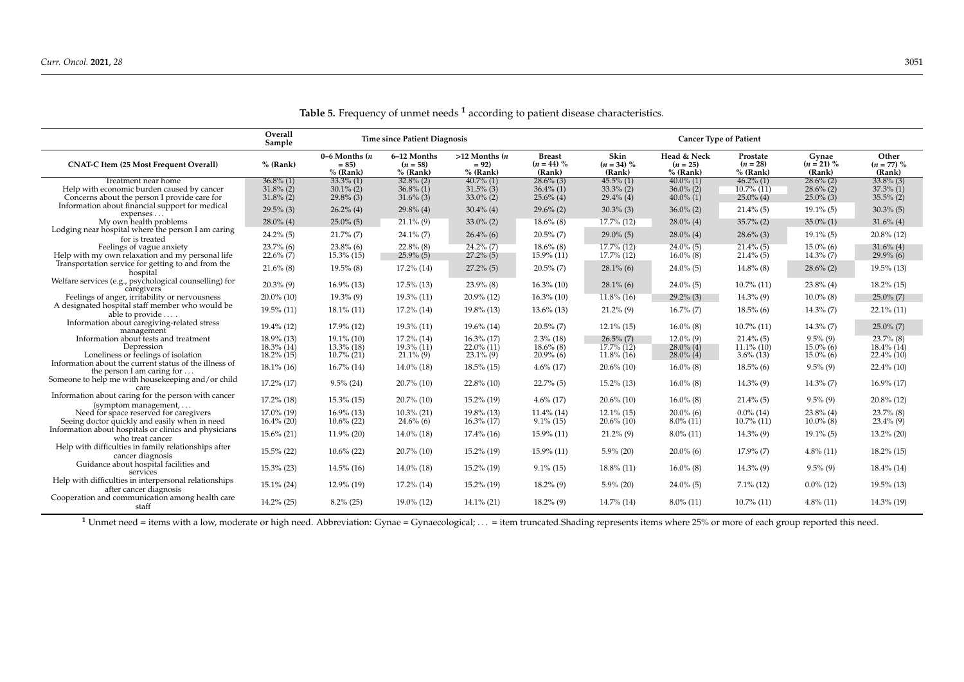|                                                                                                                   | Overall<br>Sample                            |                                              | <b>Time since Patient Diagnosis</b>          |                                              | <b>Cancer Type of Patient</b>                |                                              |                                              |                                                 |                                              |                                              |
|-------------------------------------------------------------------------------------------------------------------|----------------------------------------------|----------------------------------------------|----------------------------------------------|----------------------------------------------|----------------------------------------------|----------------------------------------------|----------------------------------------------|-------------------------------------------------|----------------------------------------------|----------------------------------------------|
| <b>CNAT-C Item (25 Most Frequent Overall)</b>                                                                     | $%$ (Rank)                                   | $0-6$ Months $(n)$<br>$= 85$<br>$%$ (Rank)   | 6-12 Months<br>$(n = 58)$<br>$%$ (Rank)      | $>12$ Months $(n)$<br>$= 92$<br>$%$ (Rank)   | <b>Breast</b><br>$(n = 44) \%$<br>(Rank)     | Skin<br>$(n = 34) \%$<br>(Rank)              | Head & Neck<br>$(n = 25)$<br>$%$ (Rank)      | Prostate<br>$(n = 28)$<br>% (Rank)              | Gynae<br>$(n = 21)$ %<br>(Rank)              | Other<br>$(n = 77) %$<br>(Rank)              |
| Treatment near home<br>Help with economic burden caused by cancer<br>Concerns about the person I provide care for | $36.8\%$ (1)<br>$31.8\%$ (2)<br>$31.8\%$ (2) | $33.3\%$ (1)<br>$30.1\%$ (2)<br>$29.8\%$ (3) | $32.8\%$ (2)<br>$36.8\%$ (1)<br>$31.6\%$ (3) | $40.7\%$ (1)<br>$31.5\%$ (3)<br>$33.0\%$ (2) | $28.6\%$ (3)<br>$36.4\%$ (1)<br>$25.6\%$ (4) | $45.5\%$ (1)<br>$33.3\%$ (2)<br>$29.4\%$ (4) | $40.0\%$ (1)<br>$36.0\%$ (2)<br>$40.0\%$ (1) | $46.2\%$ (1)<br>$10.7\%$ $(11)$<br>$25.0\%$ (4) | $28.6\%$ (2)<br>$28.6\%$ (2)<br>$25.0\%$ (3) | $33.8\%$ (3)<br>$37.3\%$ (1)<br>$35.5\%$ (2) |
| Information about financial support for medical<br>expenses                                                       | $29.5\%$ (3)                                 | $26.2\%$ (4)                                 | $29.8\%$ (4)                                 | $30.4\%$ (4)                                 | $29.6\%$ (2)                                 | $30.3\%$ (3)                                 | $36.0\%$ (2)                                 | $21.4\%$ (5)                                    | $19.1\%$ (5)                                 | $30.3\%$ (5)                                 |
| My own health problems                                                                                            | $28.0\%$ (4)                                 | $25.0\%$ (5)                                 | $21.1\%$ (9)                                 | $33.0\%$ (2)                                 | $18.6\%$ (8)                                 | 17.7% (12)                                   | $28.0\%$ (4)                                 | $35.7\%$ (2)                                    | $35.0\%$ (1)                                 | $31.6\%$ (4)                                 |
| Lodging near hospital where the person I am caring<br>for is treated                                              | $24.2\%$ (5)                                 | $21.7\%$ (7)                                 | $24.1\%$ (7)                                 | $26.4\%$ (6)                                 | $20.5\%$ (7)                                 | $29.0\%$ (5)                                 | $28.0\%$ (4)                                 | $28.6\%$ (3)                                    | $19.1\%$ (5)                                 | $20.8\%$ (12)                                |
| Feelings of vague anxiety<br>Help with my own relaxation and my personal life                                     | $23.7\%$ (6)<br>$22.6\%$ (7)                 | $23.8\%$ (6)<br>$15.3\%$ (15)                | $22.8\%$ (8)<br>$25.9\%$ (5)                 | $24.2\%$ (7)<br>$27.2\%$ (5)                 | $18.6\%$ (8)<br>$15.9\%$ (11)                | $17.7\%$ (12)<br>$17.7\%$ (12)               | $24.0\%$ (5)<br>$16.0\%$ (8)                 | $21.4\%$ (5)<br>$21.4\%$ (5)                    | $15.0\%$ (6)<br>$14.3\%$ (7)                 | $31.6\%$ (4)<br>$29.9\%$ (6)                 |
| Transportation service for getting to and from the<br>hospital                                                    | $21.6\%$ (8)                                 | $19.5\%$ (8)                                 | 17.2% (14)                                   | $27.2\%$ (5)                                 | $20.5\%$ (7)                                 | $28.1\%$ (6)                                 | $24.0\%$ (5)                                 | $14.8\%$ (8)                                    | $28.6\%$ (2)                                 | $19.5\%$ (13)                                |
| Welfare services (e.g., psychological counselling) for<br>caregivers                                              | $20.3\%$ (9)                                 | $16.9\%$ (13)                                | $17.5\%$ (13)                                | $23.9\%$ (8)                                 | $16.3\%$ (10)                                | $28.1\%$ (6)                                 | $24.0\%$ (5)                                 | $10.7\%$ (11)                                   | $23.8\%$ (4)                                 | $18.2\%$ (15)                                |
| Feelings of anger, irritability or nervousness                                                                    | $20.0\%$ (10)                                | $19.3\%$ (9)                                 | $19.3\%$ (11)                                | $20.9\%$ (12)                                | $16.3\%$ (10)                                | $11.8\%$ (16)                                | $29.2\%$ (3)                                 | $14.3\%$ (9)                                    | $10.0\%$ (8)                                 | $25.0\%$ (7)                                 |
| A designated hospital staff member who would be<br>able to provide                                                | $19.5\%$ (11)                                | $18.1\%$ (11)                                | $17.2\%$ (14)                                | $19.8\%$ (13)                                | $13.6\%$ (13)                                | $21.2\%$ (9)                                 | $16.7\%$ (7)                                 | $18.5\%$ (6)                                    | $14.3\%$ (7)                                 | $22.1\%$ (11)                                |
| Information about caregiving-related stress<br>management                                                         | 19.4% (12)                                   | $17.9\%$ (12)                                | $19.3\%$ (11)                                | $19.6\%$ (14)                                | $20.5\%$ (7)                                 | $12.1\%$ (15)                                | $16.0\%$ (8)                                 | $10.7\%$ (11)                                   | $14.3\%$ (7)                                 | $25.0\%$ (7)                                 |
| Information about tests and treatment<br>Depression                                                               | $18.9\%$ (13)<br>18.3% (14)                  | $19.1\%$ (10)<br>$13.3\%$ (18)               | $17.2\%$ (14)<br>$19.3\%$ (11)               | $16.3\%$ (17)<br>$22.0\%$ (11)               | $2.3\%$ (18)<br>$18.6\%$ (8)                 | $26.5\%$ (7)<br>$17.7\%$ (12)                | $12.0\%$ (9)<br>$28.0\%$ (4)                 | $21.4\%$ (5)<br>$11.1\%$ (10)                   | $9.5\%$ (9)<br>$15.0\%$ (6)                  | $23.7\%$ (8)<br>$18.4\%$ (14)                |
| Loneliness or feelings of isolation<br>Information about the current status of the illness of                     | $18.2\%$ (15)                                | $10.7\%$ (21)                                | $21.1\%$ (9)                                 | $23.1\%$ (9)                                 | $20.9\%$ (6)                                 | $11.8\%$ (16)                                | $28.0\%$ (4)                                 | $3.6\%$ (13)                                    | $15.0\%$ (6)                                 | $22.4\%$ (10)                                |
| the person I am caring for $\dots$<br>Someone to help me with house keeping and/or child                          | $18.1\%$ (16)                                | $16.7\%$ (14)                                | $14.0\%$ (18)                                | $18.5\%$ (15)                                | $4.6\%$ (17)                                 | $20.6\%$ (10)                                | $16.0\%$ (8)                                 | $18.5\%$ (6)                                    | $9.5\%$ (9)                                  | $22.4\%$ (10)                                |
| care                                                                                                              | $17.2\%$ (17)                                | $9.5\%$ (24)                                 | $20.7\%$ (10)                                | $22.8\%$ (10)                                | $22.7\%$ (5)                                 | $15.2\%$ (13)                                | $16.0\%$ (8)                                 | $14.3\%$ (9)                                    | $14.3\%$ (7)                                 | $16.9\%$ (17)                                |
| Information about caring for the person with cancer<br>$(symptom$ management, $\dots$                             | $17.2\%$ (18)                                | $15.3\%$ (15)                                | $20.7\%$ (10)                                | $15.2\%$ (19)                                | $4.6\%$ (17)                                 | $20.6\%$ (10)                                | $16.0\%$ (8)                                 | $21.4\%$ (5)                                    | $9.5\%$ (9)                                  | $20.8\%$ (12)                                |
| Need for space reserved for caregivers<br>Seeing doctor quickly and easily when in need                           | $17.0\%$ (19)<br>$16.4\%$ (20)               | $16.9\%$ (13)<br>$10.6\%$ (22)               | $10.3\%$ (21)<br>$24.6\%$ (6)                | $19.8\%$ (13)<br>$16.3\%$ (17)               | $11.4\%$ (14)<br>$9.1\%$ (15)                | $12.1\%$ (15)<br>$20.6\%$ (10)               | $20.0\%$ (6)<br>$8.0\%$ (11)                 | $0.0\%$ (14)<br>$10.7\%$ (11)                   | $23.8\%$ (4)<br>$10.0\%$ (8)                 | $23.7\%$ (8)<br>$23.4\%$ (9)                 |
| Information about hospitals or clinics and physicians<br>who treat cancer                                         | $15.6\%$ (21)                                | $11.9\%$ (20)                                | $14.0\%$ (18)                                | $17.4\%$ (16)                                | $15.9\%$ (11)                                | $21.2\%$ (9)                                 | $8.0\%$ (11)                                 | $14.3\%$ (9)                                    | $19.1\%$ (5)                                 | $13.2\%$ (20)                                |
| Help with difficulties in family relationships after<br>cancer diagnosis                                          | $15.5\%$ (22)                                | $10.6\%$ (22)                                | $20.7\%$ (10)                                | $15.2\%$ (19)                                | $15.9\%$ (11)                                | $5.9\%$ (20)                                 | $20.0\%$ (6)                                 | $17.9\%$ (7)                                    | $4.8\%$ (11)                                 | $18.2\%$ (15)                                |
| Guidance about hospital facilities and<br>services                                                                | $15.3\%$ (23)                                | $14.5\%$ (16)                                | $14.0\%$ (18)                                | $15.2\%$ (19)                                | $9.1\%$ (15)                                 | $18.8\%$ (11)                                | $16.0\%$ (8)                                 | $14.3\%$ (9)                                    | $9.5\%$ (9)                                  | $18.4\%$ (14)                                |
| Help with difficulties in interpersonal relationships<br>after cancer diagnosis                                   | $15.1\%$ (24)                                | $12.9\%$ (19)                                | $17.2\%$ (14)                                | $15.2\%$ (19)                                | $18.2\%$ (9)                                 | $5.9\%$ (20)                                 | $24.0\%$ (5)                                 | $7.1\%$ (12)                                    | $0.0\%$ (12)                                 | $19.5\%$ (13)                                |
| Cooperation and communication among health care<br>staff                                                          | $14.2\%$ (25)                                | $8.2\%$ (25)                                 | 19.0% (12)                                   | $14.1\%$ (21)                                | $18.2\%$ (9)                                 | $14.7\%$ (14)                                | $8.0\%$ (11)                                 | $10.7\%$ (11)                                   | $4.8\%$ (11)                                 | $14.3\%$ (19)                                |

**Table 5.** Frequency of unmet needs **<sup>1</sup>** according to patient disease characteristics.

<span id="page-10-0"></span><sup>1</sup> Unmet need = items with a low, moderate or high need. Abbreviation: Gynae = Gynaecological; . . = item truncated.Shading represents items where 25% or more of each group reported this need.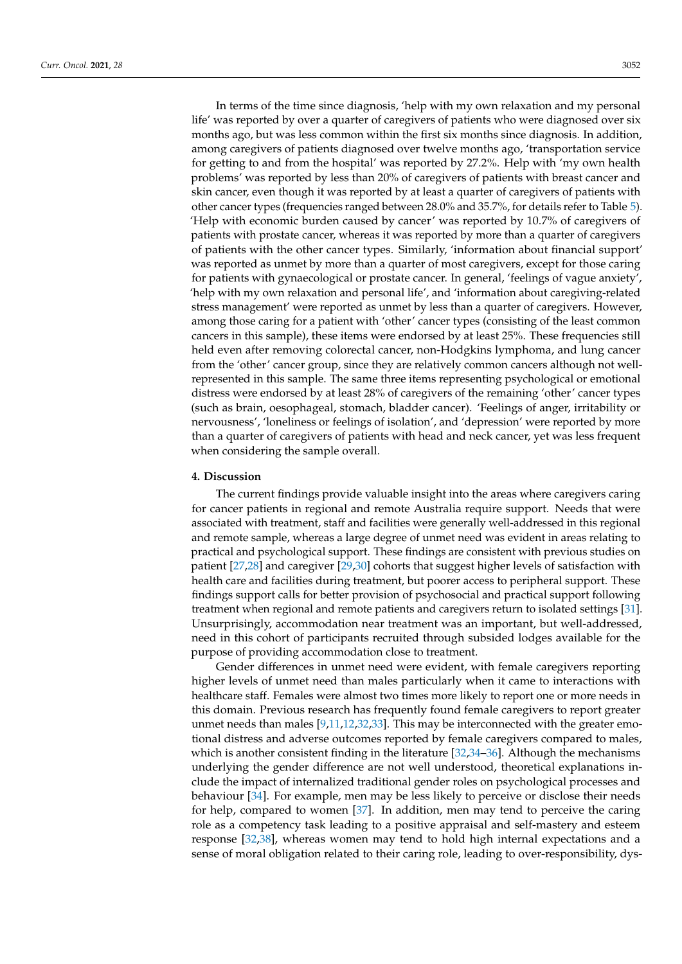In terms of the time since diagnosis, 'help with my own relaxation and my personal life' was reported by over a quarter of caregivers of patients who were diagnosed over six months ago, but was less common within the first six months since diagnosis. In addition, among caregivers of patients diagnosed over twelve months ago, 'transportation service for getting to and from the hospital' was reported by 27.2%. Help with 'my own health problems' was reported by less than 20% of caregivers of patients with breast cancer and skin cancer, even though it was reported by at least a quarter of caregivers of patients with other cancer types (frequencies ranged between 28.0% and 35.7%, for details refer to Table [5\)](#page-10-0). 'Help with economic burden caused by cancer' was reported by 10.7% of caregivers of patients with prostate cancer, whereas it was reported by more than a quarter of caregivers of patients with the other cancer types. Similarly, 'information about financial support' was reported as unmet by more than a quarter of most caregivers, except for those caring for patients with gynaecological or prostate cancer. In general, 'feelings of vague anxiety', 'help with my own relaxation and personal life', and 'information about caregiving-related stress management' were reported as unmet by less than a quarter of caregivers. However, among those caring for a patient with 'other' cancer types (consisting of the least common cancers in this sample), these items were endorsed by at least 25%. These frequencies still held even after removing colorectal cancer, non-Hodgkins lymphoma, and lung cancer from the 'other' cancer group, since they are relatively common cancers although not wellrepresented in this sample. The same three items representing psychological or emotional distress were endorsed by at least 28% of caregivers of the remaining 'other' cancer types (such as brain, oesophageal, stomach, bladder cancer). 'Feelings of anger, irritability or nervousness', 'loneliness or feelings of isolation', and 'depression' were reported by more than a quarter of caregivers of patients with head and neck cancer, yet was less frequent when considering the sample overall.

#### **4. Discussion**

The current findings provide valuable insight into the areas where caregivers caring for cancer patients in regional and remote Australia require support. Needs that were associated with treatment, staff and facilities were generally well-addressed in this regional and remote sample, whereas a large degree of unmet need was evident in areas relating to practical and psychological support. These findings are consistent with previous studies on patient [\[27,](#page-15-19)[28\]](#page-15-20) and caregiver [\[29,](#page-15-21)[30\]](#page-15-22) cohorts that suggest higher levels of satisfaction with health care and facilities during treatment, but poorer access to peripheral support. These findings support calls for better provision of psychosocial and practical support following treatment when regional and remote patients and caregivers return to isolated settings [\[31\]](#page-15-23). Unsurprisingly, accommodation near treatment was an important, but well-addressed, need in this cohort of participants recruited through subsided lodges available for the purpose of providing accommodation close to treatment.

Gender differences in unmet need were evident, with female caregivers reporting higher levels of unmet need than males particularly when it came to interactions with healthcare staff. Females were almost two times more likely to report one or more needs in this domain. Previous research has frequently found female caregivers to report greater unmet needs than males [\[9,](#page-15-2)[11,](#page-15-24)[12,](#page-15-4)[32,](#page-15-25)[33\]](#page-15-26). This may be interconnected with the greater emotional distress and adverse outcomes reported by female caregivers compared to males, which is another consistent finding in the literature [\[32,](#page-15-25)[34–](#page-16-0)[36\]](#page-16-1). Although the mechanisms underlying the gender difference are not well understood, theoretical explanations include the impact of internalized traditional gender roles on psychological processes and behaviour [\[34\]](#page-16-0). For example, men may be less likely to perceive or disclose their needs for help, compared to women [\[37\]](#page-16-2). In addition, men may tend to perceive the caring role as a competency task leading to a positive appraisal and self-mastery and esteem response [\[32,](#page-15-25)[38\]](#page-16-3), whereas women may tend to hold high internal expectations and a sense of moral obligation related to their caring role, leading to over-responsibility, dys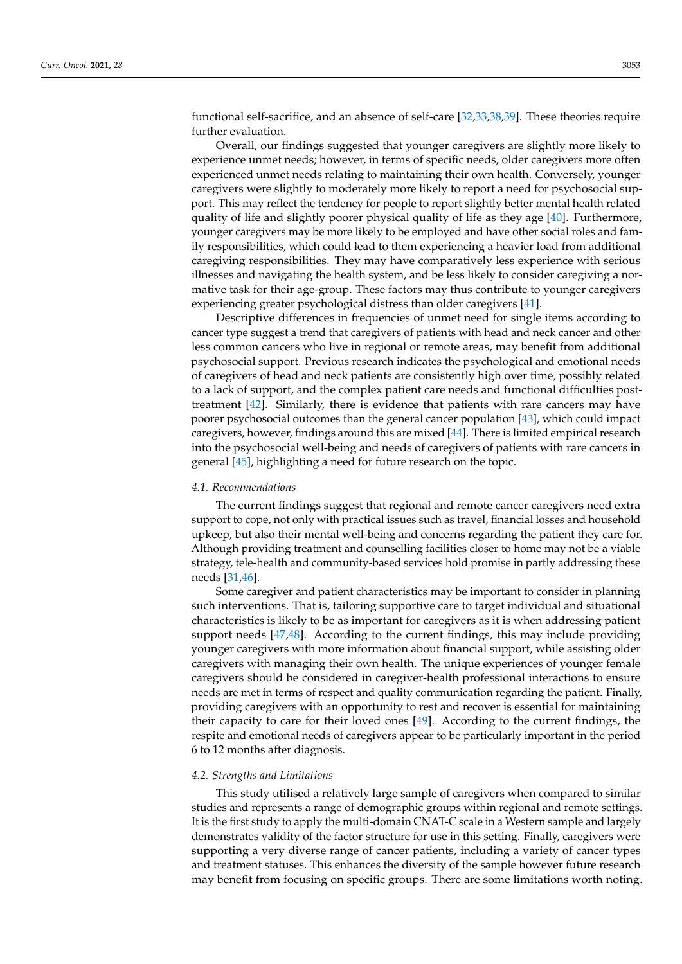functional self-sacrifice, and an absence of self-care [\[32,](#page-15-25)[33,](#page-15-26)[38,](#page-16-3)[39\]](#page-16-4). These theories require further evaluation.

Overall, our findings suggested that younger caregivers are slightly more likely to experience unmet needs; however, in terms of specific needs, older caregivers more often experienced unmet needs relating to maintaining their own health. Conversely, younger caregivers were slightly to moderately more likely to report a need for psychosocial support. This may reflect the tendency for people to report slightly better mental health related quality of life and slightly poorer physical quality of life as they age [\[40\]](#page-16-5). Furthermore, younger caregivers may be more likely to be employed and have other social roles and family responsibilities, which could lead to them experiencing a heavier load from additional caregiving responsibilities. They may have comparatively less experience with serious illnesses and navigating the health system, and be less likely to consider caregiving a normative task for their age-group. These factors may thus contribute to younger caregivers experiencing greater psychological distress than older caregivers [\[41\]](#page-16-6).

Descriptive differences in frequencies of unmet need for single items according to cancer type suggest a trend that caregivers of patients with head and neck cancer and other less common cancers who live in regional or remote areas, may benefit from additional psychosocial support. Previous research indicates the psychological and emotional needs of caregivers of head and neck patients are consistently high over time, possibly related to a lack of support, and the complex patient care needs and functional difficulties posttreatment [\[42\]](#page-16-7). Similarly, there is evidence that patients with rare cancers may have poorer psychosocial outcomes than the general cancer population [\[43\]](#page-16-8), which could impact caregivers, however, findings around this are mixed [\[44\]](#page-16-9). There is limited empirical research into the psychosocial well-being and needs of caregivers of patients with rare cancers in general [\[45\]](#page-16-10), highlighting a need for future research on the topic.

#### *4.1. Recommendations*

The current findings suggest that regional and remote cancer caregivers need extra support to cope, not only with practical issues such as travel, financial losses and household upkeep, but also their mental well-being and concerns regarding the patient they care for. Although providing treatment and counselling facilities closer to home may not be a viable strategy, tele-health and community-based services hold promise in partly addressing these needs [\[31,](#page-15-23)[46\]](#page-16-11).

Some caregiver and patient characteristics may be important to consider in planning such interventions. That is, tailoring supportive care to target individual and situational characteristics is likely to be as important for caregivers as it is when addressing patient support needs [\[47](#page-16-12)[,48\]](#page-16-13). According to the current findings, this may include providing younger caregivers with more information about financial support, while assisting older caregivers with managing their own health. The unique experiences of younger female caregivers should be considered in caregiver-health professional interactions to ensure needs are met in terms of respect and quality communication regarding the patient. Finally, providing caregivers with an opportunity to rest and recover is essential for maintaining their capacity to care for their loved ones [\[49\]](#page-16-14). According to the current findings, the respite and emotional needs of caregivers appear to be particularly important in the period 6 to 12 months after diagnosis.

### *4.2. Strengths and Limitations*

This study utilised a relatively large sample of caregivers when compared to similar studies and represents a range of demographic groups within regional and remote settings. It is the first study to apply the multi-domain CNAT-C scale in a Western sample and largely demonstrates validity of the factor structure for use in this setting. Finally, caregivers were supporting a very diverse range of cancer patients, including a variety of cancer types and treatment statuses. This enhances the diversity of the sample however future research may benefit from focusing on specific groups. There are some limitations worth noting.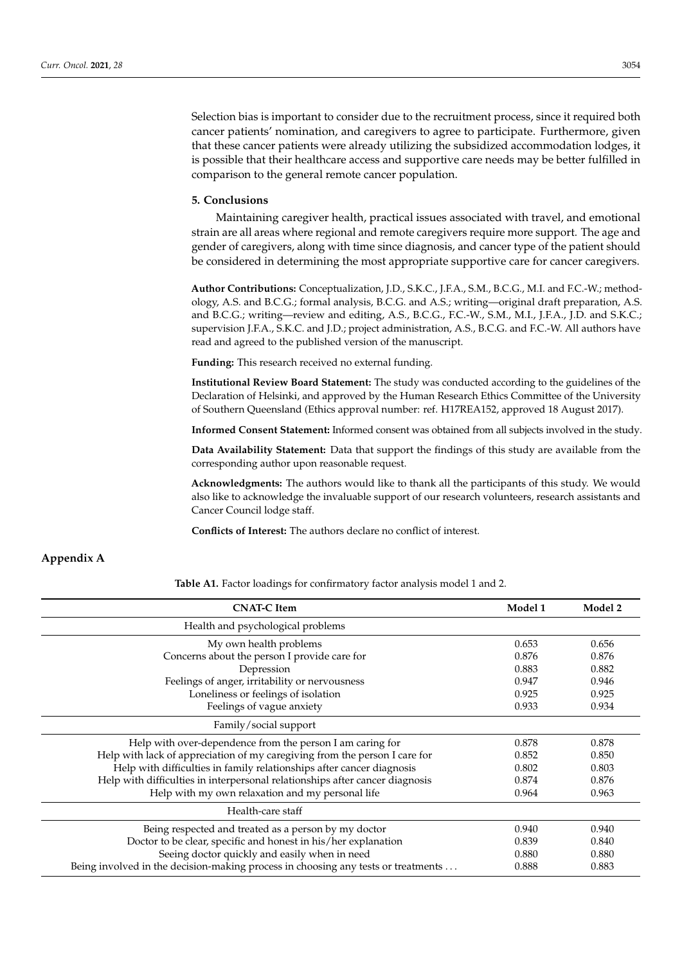Selection bias is important to consider due to the recruitment process, since it required both cancer patients' nomination, and caregivers to agree to participate. Furthermore, given that these cancer patients were already utilizing the subsidized accommodation lodges, it is possible that their healthcare access and supportive care needs may be better fulfilled in comparison to the general remote cancer population.

### **5. Conclusions**

Maintaining caregiver health, practical issues associated with travel, and emotional strain are all areas where regional and remote caregivers require more support. The age and gender of caregivers, along with time since diagnosis, and cancer type of the patient should be considered in determining the most appropriate supportive care for cancer caregivers.

**Author Contributions:** Conceptualization, J.D., S.K.C., J.F.A., S.M., B.C.G., M.I. and F.C.-W.; methodology, A.S. and B.C.G.; formal analysis, B.C.G. and A.S.; writing—original draft preparation, A.S. and B.C.G.; writing—review and editing, A.S., B.C.G., F.C.-W., S.M., M.I., J.F.A., J.D. and S.K.C.; supervision J.F.A., S.K.C. and J.D.; project administration, A.S., B.C.G. and F.C.-W. All authors have read and agreed to the published version of the manuscript.

**Funding:** This research received no external funding.

**Institutional Review Board Statement:** The study was conducted according to the guidelines of the Declaration of Helsinki, and approved by the Human Research Ethics Committee of the University of Southern Queensland (Ethics approval number: ref. H17REA152, approved 18 August 2017).

**Informed Consent Statement:** Informed consent was obtained from all subjects involved in the study.

**Data Availability Statement:** Data that support the findings of this study are available from the corresponding author upon reasonable request.

**Acknowledgments:** The authors would like to thank all the participants of this study. We would also like to acknowledge the invaluable support of our research volunteers, research assistants and Cancer Council lodge staff.

**Conflicts of Interest:** The authors declare no conflict of interest.

# <span id="page-13-0"></span>**Appendix A**

**Table A1.** Factor loadings for confirmatory factor analysis model 1 and 2.

| <b>CNAT-C</b> Item                                                                | Model 1 | Model 2 |
|-----------------------------------------------------------------------------------|---------|---------|
| Health and psychological problems                                                 |         |         |
| My own health problems                                                            | 0.653   | 0.656   |
| Concerns about the person I provide care for                                      | 0.876   | 0.876   |
| Depression                                                                        | 0.883   | 0.882   |
| Feelings of anger, irritability or nervousness                                    | 0.947   | 0.946   |
| Loneliness or feelings of isolation                                               | 0.925   | 0.925   |
| Feelings of vague anxiety                                                         | 0.933   | 0.934   |
| Family/social support                                                             |         |         |
| Help with over-dependence from the person I am caring for                         | 0.878   | 0.878   |
| Help with lack of appreciation of my caregiving from the person I care for        | 0.852   | 0.850   |
| Help with difficulties in family relationships after cancer diagnosis             | 0.802   | 0.803   |
| Help with difficulties in interpersonal relationships after cancer diagnosis      | 0.874   | 0.876   |
| Help with my own relaxation and my personal life                                  | 0.964   | 0.963   |
| Health-care staff                                                                 |         |         |
| Being respected and treated as a person by my doctor                              | 0.940   | 0.940   |
| Doctor to be clear, specific and honest in his/her explanation                    | 0.839   | 0.840   |
| Seeing doctor quickly and easily when in need                                     | 0.880   | 0.880   |
| Being involved in the decision-making process in choosing any tests or treatments | 0.888   | 0.883   |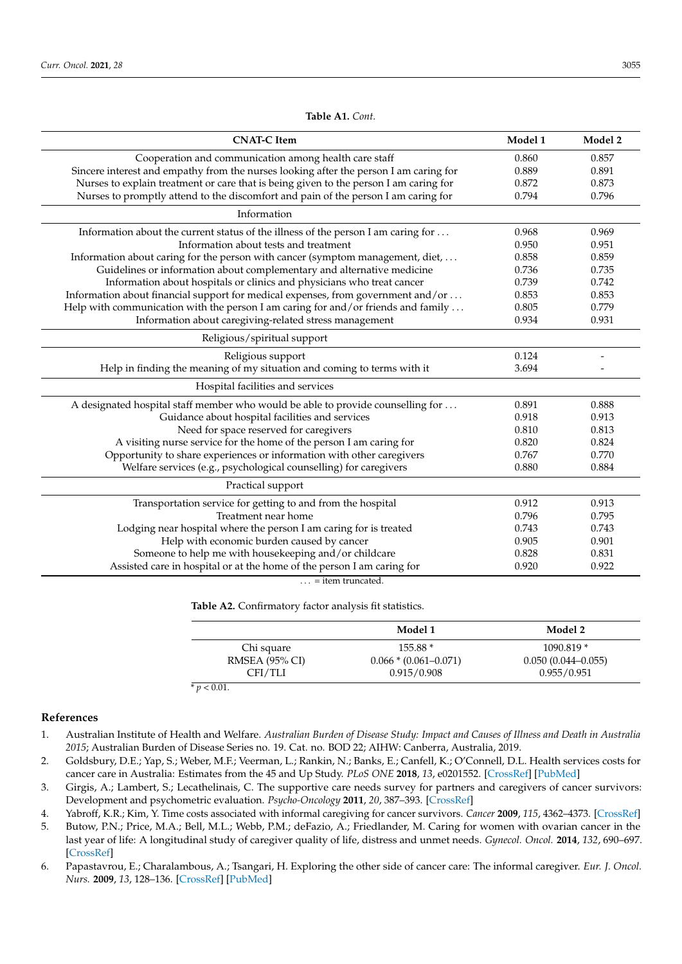| Model 1 | Model 2                          |
|---------|----------------------------------|
| 0.860   | 0.857                            |
| 0.889   | 0.891                            |
| 0.872   | 0.873                            |
| 0.794   | 0.796                            |
|         |                                  |
| 0.968   | 0.969                            |
| 0.950   | 0.951                            |
| 0.858   | 0.859                            |
|         | 0.735                            |
| 0.739   | 0.742                            |
|         | 0.853                            |
| 0.805   | 0.779                            |
|         | 0.931                            |
|         |                                  |
| 0.124   | $\overline{\phantom{a}}$         |
| 3.694   |                                  |
|         |                                  |
| 0.891   | 0.888                            |
| 0.918   | 0.913                            |
| 0.810   | 0.813                            |
| 0.820   | 0.824                            |
|         | 0.770                            |
| 0.880   | 0.884                            |
|         |                                  |
| 0.912   | 0.913                            |
| 0.796   | 0.795                            |
| 0.743   | 0.743                            |
| 0.905   | 0.901                            |
| 0.828   | 0.831                            |
| 0.920   | 0.922                            |
|         | 0.736<br>0.853<br>0.934<br>0.767 |

**Table A1.** *Cont.*

<span id="page-14-5"></span>**Table A2.** Confirmatory factor analysis fit statistics.

|                | Model 1                   | Model 2                |
|----------------|---------------------------|------------------------|
| Chi square     | $155.88*$                 | $1090.819*$            |
| RMSEA (95% CI) | $0.066 * (0.061 - 0.071)$ | $0.050(0.044 - 0.055)$ |
| CFI/TLI        | 0.915/0.908               | 0.955/0.951            |

**References**

<span id="page-14-0"></span>1. Australian Institute of Health and Welfare. *Australian Burden of Disease Study: Impact and Causes of Illness and Death in Australia 2015*; Australian Burden of Disease Series no. 19. Cat. no. BOD 22; AIHW: Canberra, Australia, 2019.

 $\ldots$  = item truncated.

- <span id="page-14-1"></span>2. Goldsbury, D.E.; Yap, S.; Weber, M.F.; Veerman, L.; Rankin, N.; Banks, E.; Canfell, K.; O'Connell, D.L. Health services costs for cancer care in Australia: Estimates from the 45 and Up Study. *PLoS ONE* **2018**, *13*, e0201552. [\[CrossRef\]](http://doi.org/10.1371/journal.pone.0201552) [\[PubMed\]](http://www.ncbi.nlm.nih.gov/pubmed/30059534)
- <span id="page-14-2"></span>3. Girgis, A.; Lambert, S.; Lecathelinais, C. The supportive care needs survey for partners and caregivers of cancer survivors: Development and psychometric evaluation. *Psycho-Oncology* **2011**, *20*, 387–393. [\[CrossRef\]](http://doi.org/10.1002/pon.1740)
- <span id="page-14-3"></span>4. Yabroff, K.R.; Kim, Y. Time costs associated with informal caregiving for cancer survivors. *Cancer* **2009**, *115*, 4362–4373. [\[CrossRef\]](http://doi.org/10.1002/cncr.24588)
- <span id="page-14-4"></span>5. Butow, P.N.; Price, M.A.; Bell, M.L.; Webb, P.M.; deFazio, A.; Friedlander, M. Caring for women with ovarian cancer in the last year of life: A longitudinal study of caregiver quality of life, distress and unmet needs. *Gynecol. Oncol.* **2014**, *132*, 690–697. [\[CrossRef\]](http://doi.org/10.1016/j.ygyno.2014.01.002)
- 6. Papastavrou, E.; Charalambous, A.; Tsangari, H. Exploring the other side of cancer care: The informal caregiver. *Eur. J. Oncol. Nurs.* **2009**, *13*, 128–136. [\[CrossRef\]](http://doi.org/10.1016/j.ejon.2009.02.003) [\[PubMed\]](http://www.ncbi.nlm.nih.gov/pubmed/19297245)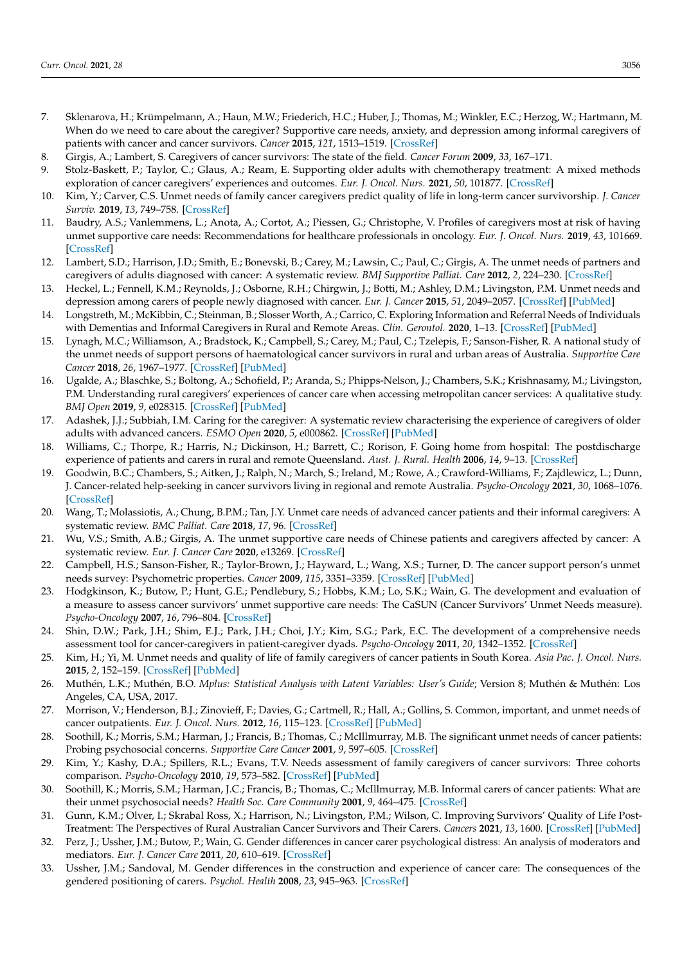- <span id="page-15-0"></span>7. Sklenarova, H.; Krümpelmann, A.; Haun, M.W.; Friederich, H.C.; Huber, J.; Thomas, M.; Winkler, E.C.; Herzog, W.; Hartmann, M. When do we need to care about the caregiver? Supportive care needs, anxiety, and depression among informal caregivers of patients with cancer and cancer survivors. *Cancer* **2015**, *121*, 1513–1519. [\[CrossRef\]](http://doi.org/10.1002/cncr.29223)
- <span id="page-15-1"></span>8. Girgis, A.; Lambert, S. Caregivers of cancer survivors: The state of the field. *Cancer Forum* **2009**, *33*, 167–171.
- <span id="page-15-2"></span>9. Stolz-Baskett, P.; Taylor, C.; Glaus, A.; Ream, E. Supporting older adults with chemotherapy treatment: A mixed methods exploration of cancer caregivers' experiences and outcomes. *Eur. J. Oncol. Nurs.* **2021**, *50*, 101877. [\[CrossRef\]](http://doi.org/10.1016/j.ejon.2020.101877)
- <span id="page-15-3"></span>10. Kim, Y.; Carver, C.S. Unmet needs of family cancer caregivers predict quality of life in long-term cancer survivorship. *J. Cancer Surviv.* **2019**, *13*, 749–758. [\[CrossRef\]](http://doi.org/10.1007/s11764-019-00794-6)
- <span id="page-15-24"></span>11. Baudry, A.S.; Vanlemmens, L.; Anota, A.; Cortot, A.; Piessen, G.; Christophe, V. Profiles of caregivers most at risk of having unmet supportive care needs: Recommendations for healthcare professionals in oncology. *Eur. J. Oncol. Nurs.* **2019**, *43*, 101669. [\[CrossRef\]](http://doi.org/10.1016/j.ejon.2019.09.010)
- <span id="page-15-4"></span>12. Lambert, S.D.; Harrison, J.D.; Smith, E.; Bonevski, B.; Carey, M.; Lawsin, C.; Paul, C.; Girgis, A. The unmet needs of partners and caregivers of adults diagnosed with cancer: A systematic review. *BMJ Supportive Palliat. Care* **2012**, *2*, 224–230. [\[CrossRef\]](http://doi.org/10.1136/bmjspcare-2012-000226)
- <span id="page-15-5"></span>13. Heckel, L.; Fennell, K.M.; Reynolds, J.; Osborne, R.H.; Chirgwin, J.; Botti, M.; Ashley, D.M.; Livingston, P.M. Unmet needs and depression among carers of people newly diagnosed with cancer. *Eur. J. Cancer* **2015**, *51*, 2049–2057. [\[CrossRef\]](http://doi.org/10.1016/j.ejca.2015.06.129) [\[PubMed\]](http://www.ncbi.nlm.nih.gov/pubmed/26208461)
- <span id="page-15-6"></span>14. Longstreth, M.; McKibbin, C.; Steinman, B.; Slosser Worth, A.; Carrico, C. Exploring Information and Referral Needs of Individuals with Dementias and Informal Caregivers in Rural and Remote Areas. *Clin. Gerontol.* **2020**, 1–13. [\[CrossRef\]](http://doi.org/10.1080/07317115.2019.1710735) [\[PubMed\]](http://www.ncbi.nlm.nih.gov/pubmed/31920164)
- <span id="page-15-10"></span>15. Lynagh, M.C.; Williamson, A.; Bradstock, K.; Campbell, S.; Carey, M.; Paul, C.; Tzelepis, F.; Sanson-Fisher, R. A national study of the unmet needs of support persons of haematological cancer survivors in rural and urban areas of Australia. *Supportive Care Cancer* **2018**, *26*, 1967–1977. [\[CrossRef\]](http://doi.org/10.1007/s00520-017-4039-3) [\[PubMed\]](http://www.ncbi.nlm.nih.gov/pubmed/29313130)
- <span id="page-15-7"></span>16. Ugalde, A.; Blaschke, S.; Boltong, A.; Schofield, P.; Aranda, S.; Phipps-Nelson, J.; Chambers, S.K.; Krishnasamy, M.; Livingston, P.M. Understanding rural caregivers' experiences of cancer care when accessing metropolitan cancer services: A qualitative study. *BMJ Open* **2019**, *9*, e028315. [\[CrossRef\]](http://doi.org/10.1136/bmjopen-2018-028315) [\[PubMed\]](http://www.ncbi.nlm.nih.gov/pubmed/31300501)
- <span id="page-15-8"></span>17. Adashek, J.J.; Subbiah, I.M. Caring for the caregiver: A systematic review characterising the experience of caregivers of older adults with advanced cancers. *ESMO Open* **2020**, *5*, e000862. [\[CrossRef\]](http://doi.org/10.1136/esmoopen-2020-000862) [\[PubMed\]](http://www.ncbi.nlm.nih.gov/pubmed/32963088)
- <span id="page-15-9"></span>18. Williams, C.; Thorpe, R.; Harris, N.; Dickinson, H.; Barrett, C.; Rorison, F. Going home from hospital: The postdischarge experience of patients and carers in rural and remote Queensland. *Aust. J. Rural. Health* **2006**, *14*, 9–13. [\[CrossRef\]](http://doi.org/10.1111/j.1440-1584.2006.00749.x)
- <span id="page-15-11"></span>19. Goodwin, B.C.; Chambers, S.; Aitken, J.; Ralph, N.; March, S.; Ireland, M.; Rowe, A.; Crawford-Williams, F.; Zajdlewicz, L.; Dunn, J. Cancer-related help-seeking in cancer survivors living in regional and remote Australia. *Psycho-Oncology* **2021**, *30*, 1068–1076. [\[CrossRef\]](http://doi.org/10.1002/pon.5643)
- <span id="page-15-12"></span>20. Wang, T.; Molassiotis, A.; Chung, B.P.M.; Tan, J.Y. Unmet care needs of advanced cancer patients and their informal caregivers: A systematic review. *BMC Palliat. Care* **2018**, *17*, 96. [\[CrossRef\]](http://doi.org/10.1186/s12904-018-0346-9)
- <span id="page-15-13"></span>21. Wu, V.S.; Smith, A.B.; Girgis, A. The unmet supportive care needs of Chinese patients and caregivers affected by cancer: A systematic review. *Eur. J. Cancer Care* **2020**, e13269. [\[CrossRef\]](http://doi.org/10.1111/ecc.13269)
- <span id="page-15-14"></span>22. Campbell, H.S.; Sanson-Fisher, R.; Taylor-Brown, J.; Hayward, L.; Wang, X.S.; Turner, D. The cancer support person's unmet needs survey: Psychometric properties. *Cancer* **2009**, *115*, 3351–3359. [\[CrossRef\]](http://doi.org/10.1002/cncr.24386) [\[PubMed\]](http://www.ncbi.nlm.nih.gov/pubmed/19472397)
- <span id="page-15-15"></span>23. Hodgkinson, K.; Butow, P.; Hunt, G.E.; Pendlebury, S.; Hobbs, K.M.; Lo, S.K.; Wain, G. The development and evaluation of a measure to assess cancer survivors' unmet supportive care needs: The CaSUN (Cancer Survivors' Unmet Needs measure). *Psycho-Oncology* **2007**, *16*, 796–804. [\[CrossRef\]](http://doi.org/10.1002/pon.1137)
- <span id="page-15-16"></span>24. Shin, D.W.; Park, J.H.; Shim, E.J.; Park, J.H.; Choi, J.Y.; Kim, S.G.; Park, E.C. The development of a comprehensive needs assessment tool for cancer-caregivers in patient-caregiver dyads. *Psycho-Oncology* **2011**, *20*, 1342–1352. [\[CrossRef\]](http://doi.org/10.1002/pon.1857)
- <span id="page-15-17"></span>25. Kim, H.; Yi, M. Unmet needs and quality of life of family caregivers of cancer patients in South Korea. *Asia Pac. J. Oncol. Nurs.* **2015**, *2*, 152–159. [\[CrossRef\]](http://doi.org/10.4103/2347-5625.158019) [\[PubMed\]](http://www.ncbi.nlm.nih.gov/pubmed/27981109)
- <span id="page-15-18"></span>26. Muthén, L.K.; Muthén, B.O. *Mplus: Statistical Analysis with Latent Variables: User's Guide*; Version 8; Muthén & Muthén: Los Angeles, CA, USA, 2017.
- <span id="page-15-19"></span>27. Morrison, V.; Henderson, B.J.; Zinovieff, F.; Davies, G.; Cartmell, R.; Hall, A.; Gollins, S. Common, important, and unmet needs of cancer outpatients. *Eur. J. Oncol. Nurs.* **2012**, *16*, 115–123. [\[CrossRef\]](http://doi.org/10.1016/j.ejon.2011.04.004) [\[PubMed\]](http://www.ncbi.nlm.nih.gov/pubmed/21555246)
- <span id="page-15-20"></span>28. Soothill, K.; Morris, S.M.; Harman, J.; Francis, B.; Thomas, C.; McIllmurray, M.B. The significant unmet needs of cancer patients: Probing psychosocial concerns. *Supportive Care Cancer* **2001**, *9*, 597–605. [\[CrossRef\]](http://doi.org/10.1007/s005200100278)
- <span id="page-15-21"></span>29. Kim, Y.; Kashy, D.A.; Spillers, R.L.; Evans, T.V. Needs assessment of family caregivers of cancer survivors: Three cohorts comparison. *Psycho-Oncology* **2010**, *19*, 573–582. [\[CrossRef\]](http://doi.org/10.1002/pon.1597) [\[PubMed\]](http://www.ncbi.nlm.nih.gov/pubmed/19582798)
- <span id="page-15-22"></span>30. Soothill, K.; Morris, S.M.; Harman, J.C.; Francis, B.; Thomas, C.; McIllmurray, M.B. Informal carers of cancer patients: What are their unmet psychosocial needs? *Health Soc. Care Community* **2001**, *9*, 464–475. [\[CrossRef\]](http://doi.org/10.1046/j.0966-0410.2001.00326.x)
- <span id="page-15-23"></span>31. Gunn, K.M.; Olver, I.; Skrabal Ross, X.; Harrison, N.; Livingston, P.M.; Wilson, C. Improving Survivors' Quality of Life Post-Treatment: The Perspectives of Rural Australian Cancer Survivors and Their Carers. *Cancers* **2021**, *13*, 1600. [\[CrossRef\]](http://doi.org/10.3390/cancers13071600) [\[PubMed\]](http://www.ncbi.nlm.nih.gov/pubmed/33808464)
- <span id="page-15-25"></span>32. Perz, J.; Ussher, J.M.; Butow, P.; Wain, G. Gender differences in cancer carer psychological distress: An analysis of moderators and mediators. *Eur. J. Cancer Care* **2011**, *20*, 610–619. [\[CrossRef\]](http://doi.org/10.1111/j.1365-2354.2011.01257.x)
- <span id="page-15-26"></span>33. Ussher, J.M.; Sandoval, M. Gender differences in the construction and experience of cancer care: The consequences of the gendered positioning of carers. *Psychol. Health* **2008**, *23*, 945–963. [\[CrossRef\]](http://doi.org/10.1080/08870440701596585)